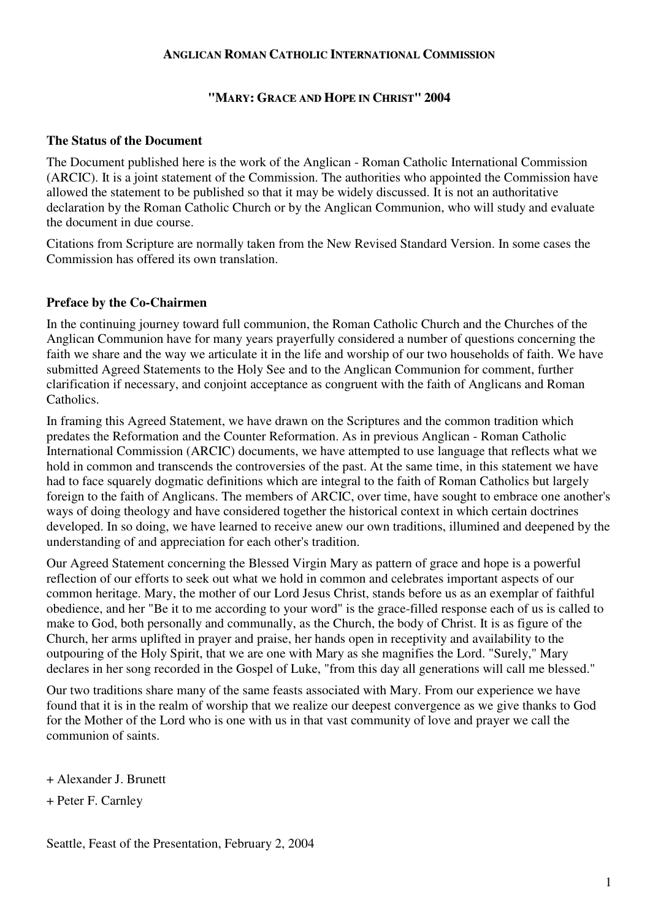#### **ANGLICAN ROMAN CATHOLIC INTERNATIONAL COMMISSION**

#### **"MARY: GRACE AND HOPE IN CHRIST" 2004**

#### **The Status of the Document**

The Document published here is the work of the Anglican - Roman Catholic International Commission (ARCIC). It is a joint statement of the Commission. The authorities who appointed the Commission have allowed the statement to be published so that it may be widely discussed. It is not an authoritative declaration by the Roman Catholic Church or by the Anglican Communion, who will study and evaluate the document in due course.

Citations from Scripture are normally taken from the New Revised Standard Version. In some cases the Commission has offered its own translation.

#### **Preface by the Co-Chairmen**

In the continuing journey toward full communion, the Roman Catholic Church and the Churches of the Anglican Communion have for many years prayerfully considered a number of questions concerning the faith we share and the way we articulate it in the life and worship of our two households of faith. We have submitted Agreed Statements to the Holy See and to the Anglican Communion for comment, further clarification if necessary, and conjoint acceptance as congruent with the faith of Anglicans and Roman Catholics.

In framing this Agreed Statement, we have drawn on the Scriptures and the common tradition which predates the Reformation and the Counter Reformation. As in previous Anglican - Roman Catholic International Commission (ARCIC) documents, we have attempted to use language that reflects what we hold in common and transcends the controversies of the past. At the same time, in this statement we have had to face squarely dogmatic definitions which are integral to the faith of Roman Catholics but largely foreign to the faith of Anglicans. The members of ARCIC, over time, have sought to embrace one another's ways of doing theology and have considered together the historical context in which certain doctrines developed. In so doing, we have learned to receive anew our own traditions, illumined and deepened by the understanding of and appreciation for each other's tradition.

Our Agreed Statement concerning the Blessed Virgin Mary as pattern of grace and hope is a powerful reflection of our efforts to seek out what we hold in common and celebrates important aspects of our common heritage. Mary, the mother of our Lord Jesus Christ, stands before us as an exemplar of faithful obedience, and her "Be it to me according to your word" is the grace-filled response each of us is called to make to God, both personally and communally, as the Church, the body of Christ. It is as figure of the Church, her arms uplifted in prayer and praise, her hands open in receptivity and availability to the outpouring of the Holy Spirit, that we are one with Mary as she magnifies the Lord. "Surely," Mary declares in her song recorded in the Gospel of Luke, "from this day all generations will call me blessed."

Our two traditions share many of the same feasts associated with Mary. From our experience we have found that it is in the realm of worship that we realize our deepest convergence as we give thanks to God for the Mother of the Lord who is one with us in that vast community of love and prayer we call the communion of saints.

- + Alexander J. Brunett
- + Peter F. Carnley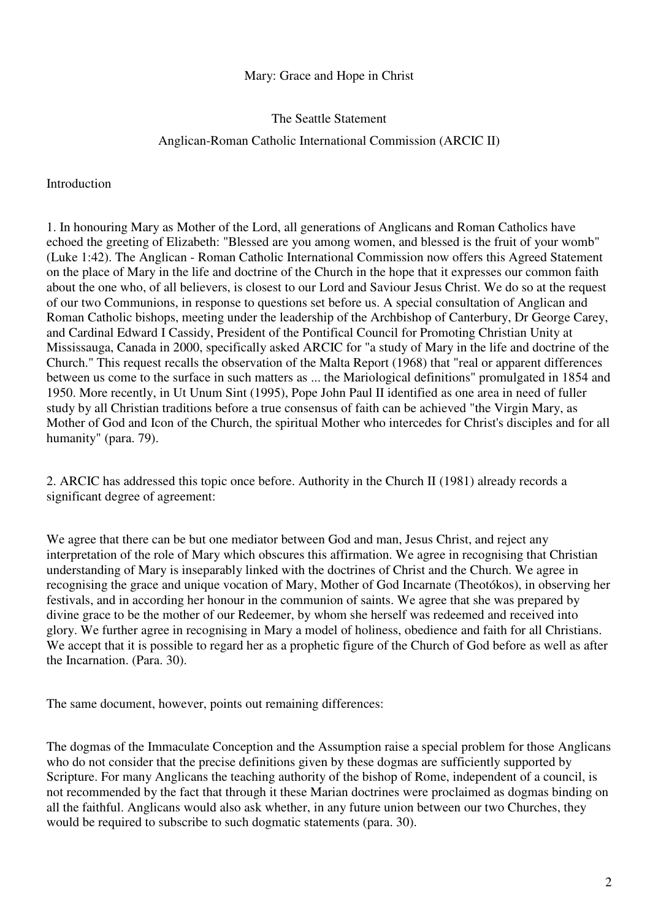#### Mary: Grace and Hope in Christ

#### The Seattle Statement

#### Anglican-Roman Catholic International Commission (ARCIC II)

#### Introduction

1. In honouring Mary as Mother of the Lord, all generations of Anglicans and Roman Catholics have echoed the greeting of Elizabeth: "Blessed are you among women, and blessed is the fruit of your womb" (Luke 1:42). The Anglican - Roman Catholic International Commission now offers this Agreed Statement on the place of Mary in the life and doctrine of the Church in the hope that it expresses our common faith about the one who, of all believers, is closest to our Lord and Saviour Jesus Christ. We do so at the request of our two Communions, in response to questions set before us. A special consultation of Anglican and Roman Catholic bishops, meeting under the leadership of the Archbishop of Canterbury, Dr George Carey, and Cardinal Edward I Cassidy, President of the Pontifical Council for Promoting Christian Unity at Mississauga, Canada in 2000, specifically asked ARCIC for "a study of Mary in the life and doctrine of the Church." This request recalls the observation of the Malta Report (1968) that "real or apparent differences between us come to the surface in such matters as ... the Mariological definitions" promulgated in 1854 and 1950. More recently, in Ut Unum Sint (1995), Pope John Paul II identified as one area in need of fuller study by all Christian traditions before a true consensus of faith can be achieved "the Virgin Mary, as Mother of God and Icon of the Church, the spiritual Mother who intercedes for Christ's disciples and for all humanity" (para. 79).

2. ARCIC has addressed this topic once before. Authority in the Church II (1981) already records a significant degree of agreement:

We agree that there can be but one mediator between God and man, Jesus Christ, and reject any interpretation of the role of Mary which obscures this affirmation. We agree in recognising that Christian understanding of Mary is inseparably linked with the doctrines of Christ and the Church. We agree in recognising the grace and unique vocation of Mary, Mother of God Incarnate (Theotókos), in observing her festivals, and in according her honour in the communion of saints. We agree that she was prepared by divine grace to be the mother of our Redeemer, by whom she herself was redeemed and received into glory. We further agree in recognising in Mary a model of holiness, obedience and faith for all Christians. We accept that it is possible to regard her as a prophetic figure of the Church of God before as well as after the Incarnation. (Para. 30).

The same document, however, points out remaining differences:

The dogmas of the Immaculate Conception and the Assumption raise a special problem for those Anglicans who do not consider that the precise definitions given by these dogmas are sufficiently supported by Scripture. For many Anglicans the teaching authority of the bishop of Rome, independent of a council, is not recommended by the fact that through it these Marian doctrines were proclaimed as dogmas binding on all the faithful. Anglicans would also ask whether, in any future union between our two Churches, they would be required to subscribe to such dogmatic statements (para. 30).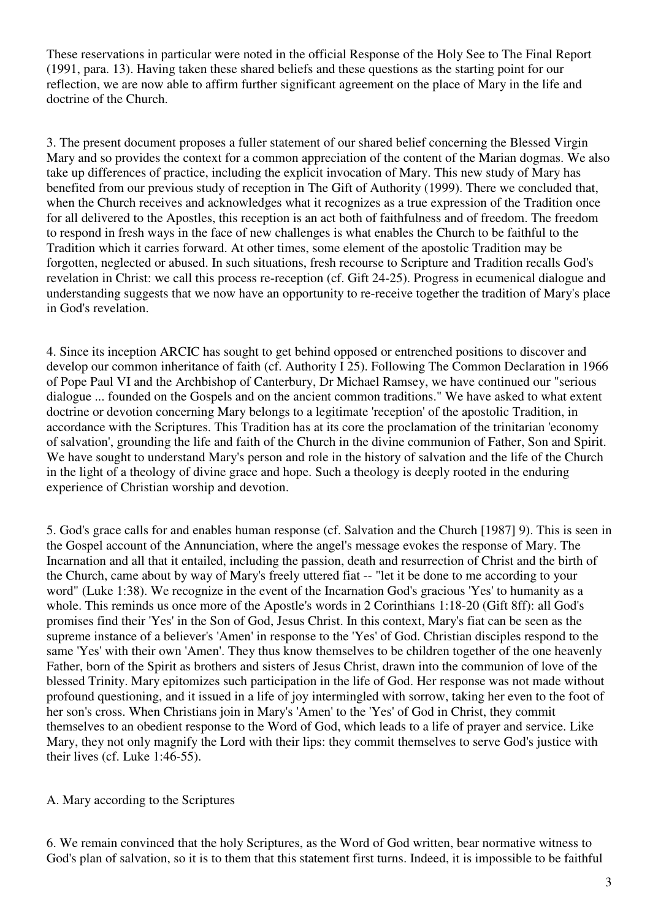These reservations in particular were noted in the official Response of the Holy See to The Final Report (1991, para. 13). Having taken these shared beliefs and these questions as the starting point for our reflection, we are now able to affirm further significant agreement on the place of Mary in the life and doctrine of the Church.

3. The present document proposes a fuller statement of our shared belief concerning the Blessed Virgin Mary and so provides the context for a common appreciation of the content of the Marian dogmas. We also take up differences of practice, including the explicit invocation of Mary. This new study of Mary has benefited from our previous study of reception in The Gift of Authority (1999). There we concluded that, when the Church receives and acknowledges what it recognizes as a true expression of the Tradition once for all delivered to the Apostles, this reception is an act both of faithfulness and of freedom. The freedom to respond in fresh ways in the face of new challenges is what enables the Church to be faithful to the Tradition which it carries forward. At other times, some element of the apostolic Tradition may be forgotten, neglected or abused. In such situations, fresh recourse to Scripture and Tradition recalls God's revelation in Christ: we call this process re-reception (cf. Gift 24-25). Progress in ecumenical dialogue and understanding suggests that we now have an opportunity to re-receive together the tradition of Mary's place in God's revelation.

4. Since its inception ARCIC has sought to get behind opposed or entrenched positions to discover and develop our common inheritance of faith (cf. Authority I 25). Following The Common Declaration in 1966 of Pope Paul VI and the Archbishop of Canterbury, Dr Michael Ramsey, we have continued our "serious dialogue ... founded on the Gospels and on the ancient common traditions." We have asked to what extent doctrine or devotion concerning Mary belongs to a legitimate 'reception' of the apostolic Tradition, in accordance with the Scriptures. This Tradition has at its core the proclamation of the trinitarian 'economy of salvation', grounding the life and faith of the Church in the divine communion of Father, Son and Spirit. We have sought to understand Mary's person and role in the history of salvation and the life of the Church in the light of a theology of divine grace and hope. Such a theology is deeply rooted in the enduring experience of Christian worship and devotion.

5. God's grace calls for and enables human response (cf. Salvation and the Church [1987] 9). This is seen in the Gospel account of the Annunciation, where the angel's message evokes the response of Mary. The Incarnation and all that it entailed, including the passion, death and resurrection of Christ and the birth of the Church, came about by way of Mary's freely uttered fiat -- "let it be done to me according to your word" (Luke 1:38). We recognize in the event of the Incarnation God's gracious 'Yes' to humanity as a whole. This reminds us once more of the Apostle's words in 2 Corinthians 1:18-20 (Gift 8ff): all God's promises find their 'Yes' in the Son of God, Jesus Christ. In this context, Mary's fiat can be seen as the supreme instance of a believer's 'Amen' in response to the 'Yes' of God. Christian disciples respond to the same 'Yes' with their own 'Amen'. They thus know themselves to be children together of the one heavenly Father, born of the Spirit as brothers and sisters of Jesus Christ, drawn into the communion of love of the blessed Trinity. Mary epitomizes such participation in the life of God. Her response was not made without profound questioning, and it issued in a life of joy intermingled with sorrow, taking her even to the foot of her son's cross. When Christians join in Mary's 'Amen' to the 'Yes' of God in Christ, they commit themselves to an obedient response to the Word of God, which leads to a life of prayer and service. Like Mary, they not only magnify the Lord with their lips: they commit themselves to serve God's justice with their lives (cf. Luke 1:46-55).

A. Mary according to the Scriptures

6. We remain convinced that the holy Scriptures, as the Word of God written, bear normative witness to God's plan of salvation, so it is to them that this statement first turns. Indeed, it is impossible to be faithful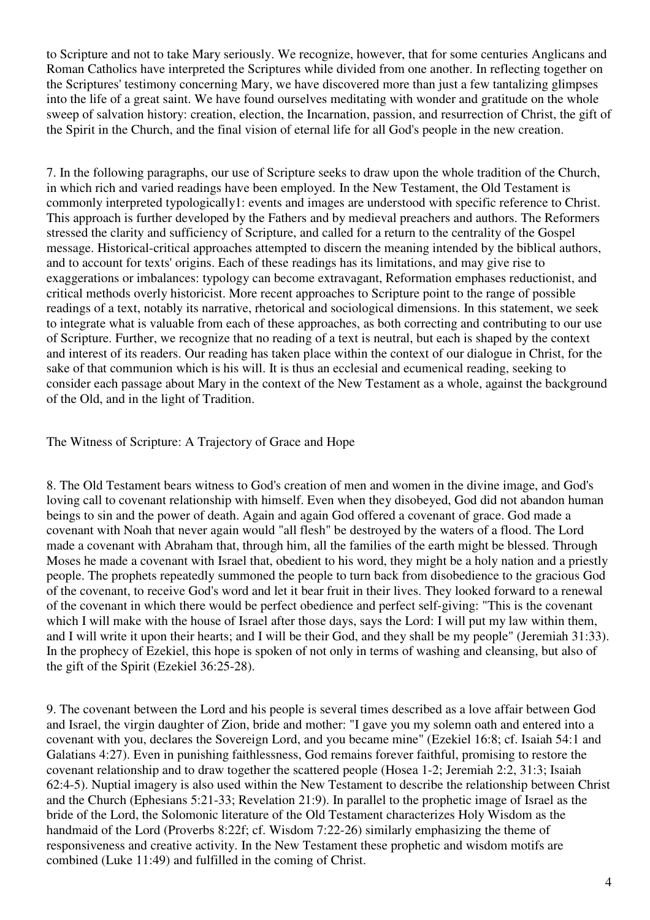to Scripture and not to take Mary seriously. We recognize, however, that for some centuries Anglicans and Roman Catholics have interpreted the Scriptures while divided from one another. In reflecting together on the Scriptures' testimony concerning Mary, we have discovered more than just a few tantalizing glimpses into the life of a great saint. We have found ourselves meditating with wonder and gratitude on the whole sweep of salvation history: creation, election, the Incarnation, passion, and resurrection of Christ, the gift of the Spirit in the Church, and the final vision of eternal life for all God's people in the new creation.

7. In the following paragraphs, our use of Scripture seeks to draw upon the whole tradition of the Church, in which rich and varied readings have been employed. In the New Testament, the Old Testament is commonly interpreted typologically1: events and images are understood with specific reference to Christ. This approach is further developed by the Fathers and by medieval preachers and authors. The Reformers stressed the clarity and sufficiency of Scripture, and called for a return to the centrality of the Gospel message. Historical-critical approaches attempted to discern the meaning intended by the biblical authors, and to account for texts' origins. Each of these readings has its limitations, and may give rise to exaggerations or imbalances: typology can become extravagant, Reformation emphases reductionist, and critical methods overly historicist. More recent approaches to Scripture point to the range of possible readings of a text, notably its narrative, rhetorical and sociological dimensions. In this statement, we seek to integrate what is valuable from each of these approaches, as both correcting and contributing to our use of Scripture. Further, we recognize that no reading of a text is neutral, but each is shaped by the context and interest of its readers. Our reading has taken place within the context of our dialogue in Christ, for the sake of that communion which is his will. It is thus an ecclesial and ecumenical reading, seeking to consider each passage about Mary in the context of the New Testament as a whole, against the background of the Old, and in the light of Tradition.

The Witness of Scripture: A Trajectory of Grace and Hope

8. The Old Testament bears witness to God's creation of men and women in the divine image, and God's loving call to covenant relationship with himself. Even when they disobeyed, God did not abandon human beings to sin and the power of death. Again and again God offered a covenant of grace. God made a covenant with Noah that never again would "all flesh" be destroyed by the waters of a flood. The Lord made a covenant with Abraham that, through him, all the families of the earth might be blessed. Through Moses he made a covenant with Israel that, obedient to his word, they might be a holy nation and a priestly people. The prophets repeatedly summoned the people to turn back from disobedience to the gracious God of the covenant, to receive God's word and let it bear fruit in their lives. They looked forward to a renewal of the covenant in which there would be perfect obedience and perfect self-giving: "This is the covenant which I will make with the house of Israel after those days, says the Lord: I will put my law within them, and I will write it upon their hearts; and I will be their God, and they shall be my people" (Jeremiah 31:33). In the prophecy of Ezekiel, this hope is spoken of not only in terms of washing and cleansing, but also of the gift of the Spirit (Ezekiel 36:25-28).

9. The covenant between the Lord and his people is several times described as a love affair between God and Israel, the virgin daughter of Zion, bride and mother: "I gave you my solemn oath and entered into a covenant with you, declares the Sovereign Lord, and you became mine" (Ezekiel 16:8; cf. Isaiah 54:1 and Galatians 4:27). Even in punishing faithlessness, God remains forever faithful, promising to restore the covenant relationship and to draw together the scattered people (Hosea 1-2; Jeremiah 2:2, 31:3; Isaiah 62:4-5). Nuptial imagery is also used within the New Testament to describe the relationship between Christ and the Church (Ephesians 5:21-33; Revelation 21:9). In parallel to the prophetic image of Israel as the bride of the Lord, the Solomonic literature of the Old Testament characterizes Holy Wisdom as the handmaid of the Lord (Proverbs 8:22f; cf. Wisdom 7:22-26) similarly emphasizing the theme of responsiveness and creative activity. In the New Testament these prophetic and wisdom motifs are combined (Luke 11:49) and fulfilled in the coming of Christ.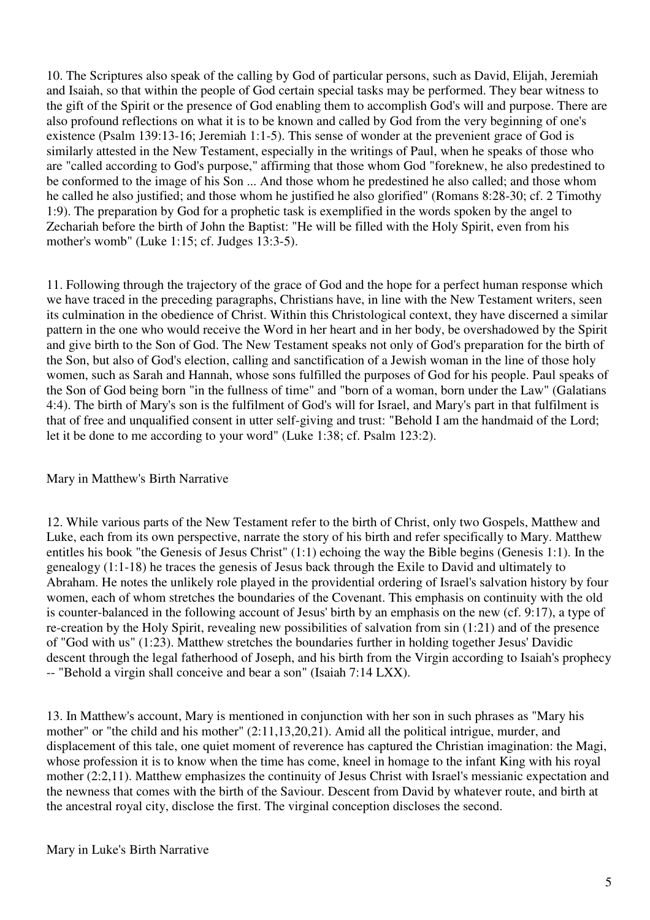10. The Scriptures also speak of the calling by God of particular persons, such as David, Elijah, Jeremiah and Isaiah, so that within the people of God certain special tasks may be performed. They bear witness to the gift of the Spirit or the presence of God enabling them to accomplish God's will and purpose. There are also profound reflections on what it is to be known and called by God from the very beginning of one's existence (Psalm 139:13-16; Jeremiah 1:1-5). This sense of wonder at the prevenient grace of God is similarly attested in the New Testament, especially in the writings of Paul, when he speaks of those who are "called according to God's purpose," affirming that those whom God "foreknew, he also predestined to be conformed to the image of his Son ... And those whom he predestined he also called; and those whom he called he also justified; and those whom he justified he also glorified" (Romans 8:28-30; cf. 2 Timothy 1:9). The preparation by God for a prophetic task is exemplified in the words spoken by the angel to Zechariah before the birth of John the Baptist: "He will be filled with the Holy Spirit, even from his mother's womb" (Luke 1:15; cf. Judges 13:3-5).

11. Following through the trajectory of the grace of God and the hope for a perfect human response which we have traced in the preceding paragraphs, Christians have, in line with the New Testament writers, seen its culmination in the obedience of Christ. Within this Christological context, they have discerned a similar pattern in the one who would receive the Word in her heart and in her body, be overshadowed by the Spirit and give birth to the Son of God. The New Testament speaks not only of God's preparation for the birth of the Son, but also of God's election, calling and sanctification of a Jewish woman in the line of those holy women, such as Sarah and Hannah, whose sons fulfilled the purposes of God for his people. Paul speaks of the Son of God being born "in the fullness of time" and "born of a woman, born under the Law" (Galatians 4:4). The birth of Mary's son is the fulfilment of God's will for Israel, and Mary's part in that fulfilment is that of free and unqualified consent in utter self-giving and trust: "Behold I am the handmaid of the Lord; let it be done to me according to your word" (Luke 1:38; cf. Psalm 123:2).

## Mary in Matthew's Birth Narrative

12. While various parts of the New Testament refer to the birth of Christ, only two Gospels, Matthew and Luke, each from its own perspective, narrate the story of his birth and refer specifically to Mary. Matthew entitles his book "the Genesis of Jesus Christ" (1:1) echoing the way the Bible begins (Genesis 1:1). In the genealogy (1:1-18) he traces the genesis of Jesus back through the Exile to David and ultimately to Abraham. He notes the unlikely role played in the providential ordering of Israel's salvation history by four women, each of whom stretches the boundaries of the Covenant. This emphasis on continuity with the old is counter-balanced in the following account of Jesus' birth by an emphasis on the new (cf. 9:17), a type of re-creation by the Holy Spirit, revealing new possibilities of salvation from sin (1:21) and of the presence of "God with us" (1:23). Matthew stretches the boundaries further in holding together Jesus' Davidic descent through the legal fatherhood of Joseph, and his birth from the Virgin according to Isaiah's prophecy -- "Behold a virgin shall conceive and bear a son" (Isaiah 7:14 LXX).

13. In Matthew's account, Mary is mentioned in conjunction with her son in such phrases as "Mary his mother" or "the child and his mother" (2:11,13,20,21). Amid all the political intrigue, murder, and displacement of this tale, one quiet moment of reverence has captured the Christian imagination: the Magi, whose profession it is to know when the time has come, kneel in homage to the infant King with his royal mother (2:2,11). Matthew emphasizes the continuity of Jesus Christ with Israel's messianic expectation and the newness that comes with the birth of the Saviour. Descent from David by whatever route, and birth at the ancestral royal city, disclose the first. The virginal conception discloses the second.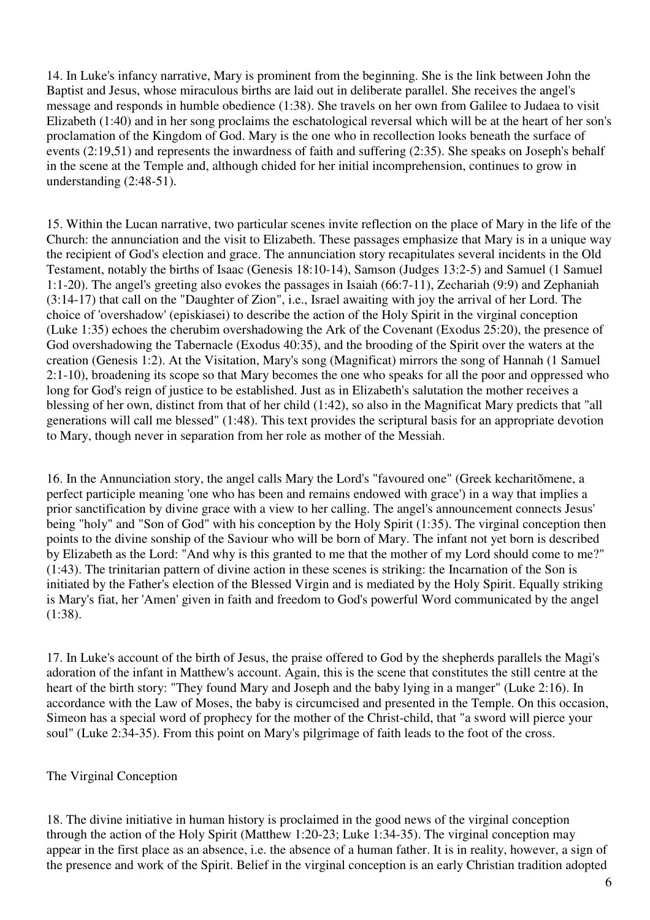14. In Luke's infancy narrative, Mary is prominent from the beginning. She is the link between John the Baptist and Jesus, whose miraculous births are laid out in deliberate parallel. She receives the angel's message and responds in humble obedience (1:38). She travels on her own from Galilee to Judaea to visit Elizabeth (1:40) and in her song proclaims the eschatological reversal which will be at the heart of her son's proclamation of the Kingdom of God. Mary is the one who in recollection looks beneath the surface of events (2:19,51) and represents the inwardness of faith and suffering (2:35). She speaks on Joseph's behalf in the scene at the Temple and, although chided for her initial incomprehension, continues to grow in understanding (2:48-51).

15. Within the Lucan narrative, two particular scenes invite reflection on the place of Mary in the life of the Church: the annunciation and the visit to Elizabeth. These passages emphasize that Mary is in a unique way the recipient of God's election and grace. The annunciation story recapitulates several incidents in the Old Testament, notably the births of Isaac (Genesis 18:10-14), Samson (Judges 13:2-5) and Samuel (1 Samuel 1:1-20). The angel's greeting also evokes the passages in Isaiah (66:7-11), Zechariah (9:9) and Zephaniah (3:14-17) that call on the "Daughter of Zion", i.e., Israel awaiting with joy the arrival of her Lord. The choice of 'overshadow' (episkiasei) to describe the action of the Holy Spirit in the virginal conception (Luke 1:35) echoes the cherubim overshadowing the Ark of the Covenant (Exodus 25:20), the presence of God overshadowing the Tabernacle (Exodus 40:35), and the brooding of the Spirit over the waters at the creation (Genesis 1:2). At the Visitation, Mary's song (Magnificat) mirrors the song of Hannah (1 Samuel 2:1-10), broadening its scope so that Mary becomes the one who speaks for all the poor and oppressed who long for God's reign of justice to be established. Just as in Elizabeth's salutation the mother receives a blessing of her own, distinct from that of her child (1:42), so also in the Magnificat Mary predicts that "all generations will call me blessed" (1:48). This text provides the scriptural basis for an appropriate devotion to Mary, though never in separation from her role as mother of the Messiah.

16. In the Annunciation story, the angel calls Mary the Lord's "favoured one" (Greek kecharitõmene, a perfect participle meaning 'one who has been and remains endowed with grace') in a way that implies a prior sanctification by divine grace with a view to her calling. The angel's announcement connects Jesus' being "holy" and "Son of God" with his conception by the Holy Spirit (1:35). The virginal conception then points to the divine sonship of the Saviour who will be born of Mary. The infant not yet born is described by Elizabeth as the Lord: "And why is this granted to me that the mother of my Lord should come to me?" (1:43). The trinitarian pattern of divine action in these scenes is striking: the Incarnation of the Son is initiated by the Father's election of the Blessed Virgin and is mediated by the Holy Spirit. Equally striking is Mary's fiat, her 'Amen' given in faith and freedom to God's powerful Word communicated by the angel (1:38).

17. In Luke's account of the birth of Jesus, the praise offered to God by the shepherds parallels the Magi's adoration of the infant in Matthew's account. Again, this is the scene that constitutes the still centre at the heart of the birth story: "They found Mary and Joseph and the baby lying in a manger" (Luke 2:16). In accordance with the Law of Moses, the baby is circumcised and presented in the Temple. On this occasion, Simeon has a special word of prophecy for the mother of the Christ-child, that "a sword will pierce your soul" (Luke 2:34-35). From this point on Mary's pilgrimage of faith leads to the foot of the cross.

## The Virginal Conception

18. The divine initiative in human history is proclaimed in the good news of the virginal conception through the action of the Holy Spirit (Matthew 1:20-23; Luke 1:34-35). The virginal conception may appear in the first place as an absence, i.e. the absence of a human father. It is in reality, however, a sign of the presence and work of the Spirit. Belief in the virginal conception is an early Christian tradition adopted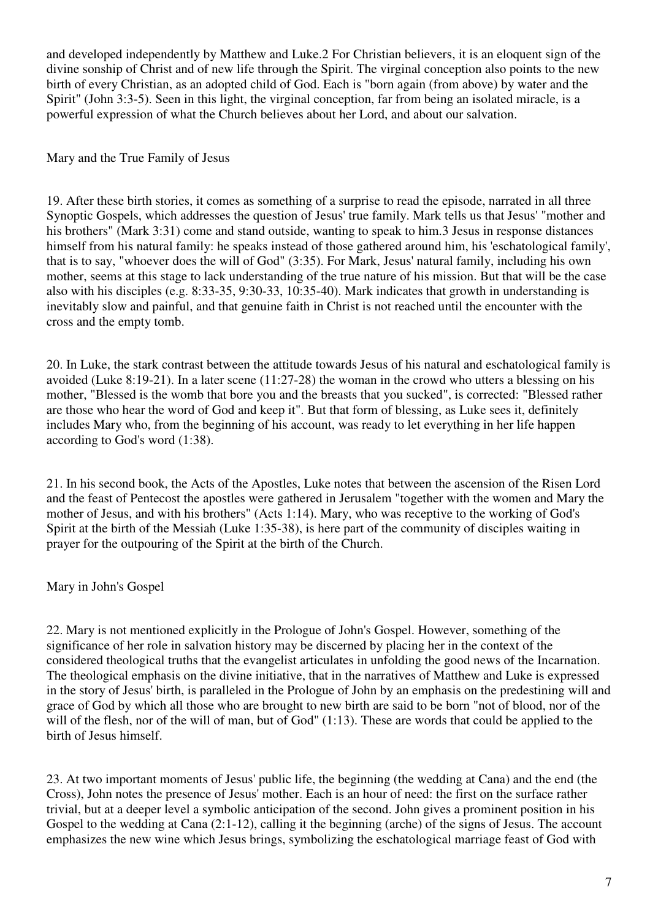and developed independently by Matthew and Luke.2 For Christian believers, it is an eloquent sign of the divine sonship of Christ and of new life through the Spirit. The virginal conception also points to the new birth of every Christian, as an adopted child of God. Each is "born again (from above) by water and the Spirit" (John 3:3-5). Seen in this light, the virginal conception, far from being an isolated miracle, is a powerful expression of what the Church believes about her Lord, and about our salvation.

Mary and the True Family of Jesus

19. After these birth stories, it comes as something of a surprise to read the episode, narrated in all three Synoptic Gospels, which addresses the question of Jesus' true family. Mark tells us that Jesus' "mother and his brothers" (Mark 3:31) come and stand outside, wanting to speak to him.3 Jesus in response distances himself from his natural family: he speaks instead of those gathered around him, his 'eschatological family', that is to say, "whoever does the will of God" (3:35). For Mark, Jesus' natural family, including his own mother, seems at this stage to lack understanding of the true nature of his mission. But that will be the case also with his disciples (e.g. 8:33-35, 9:30-33, 10:35-40). Mark indicates that growth in understanding is inevitably slow and painful, and that genuine faith in Christ is not reached until the encounter with the cross and the empty tomb.

20. In Luke, the stark contrast between the attitude towards Jesus of his natural and eschatological family is avoided (Luke 8:19-21). In a later scene (11:27-28) the woman in the crowd who utters a blessing on his mother, "Blessed is the womb that bore you and the breasts that you sucked", is corrected: "Blessed rather are those who hear the word of God and keep it". But that form of blessing, as Luke sees it, definitely includes Mary who, from the beginning of his account, was ready to let everything in her life happen according to God's word (1:38).

21. In his second book, the Acts of the Apostles, Luke notes that between the ascension of the Risen Lord and the feast of Pentecost the apostles were gathered in Jerusalem "together with the women and Mary the mother of Jesus, and with his brothers" (Acts 1:14). Mary, who was receptive to the working of God's Spirit at the birth of the Messiah (Luke 1:35-38), is here part of the community of disciples waiting in prayer for the outpouring of the Spirit at the birth of the Church.

Mary in John's Gospel

22. Mary is not mentioned explicitly in the Prologue of John's Gospel. However, something of the significance of her role in salvation history may be discerned by placing her in the context of the considered theological truths that the evangelist articulates in unfolding the good news of the Incarnation. The theological emphasis on the divine initiative, that in the narratives of Matthew and Luke is expressed in the story of Jesus' birth, is paralleled in the Prologue of John by an emphasis on the predestining will and grace of God by which all those who are brought to new birth are said to be born "not of blood, nor of the will of the flesh, nor of the will of man, but of God" (1:13). These are words that could be applied to the birth of Jesus himself.

23. At two important moments of Jesus' public life, the beginning (the wedding at Cana) and the end (the Cross), John notes the presence of Jesus' mother. Each is an hour of need: the first on the surface rather trivial, but at a deeper level a symbolic anticipation of the second. John gives a prominent position in his Gospel to the wedding at Cana (2:1-12), calling it the beginning (arche) of the signs of Jesus. The account emphasizes the new wine which Jesus brings, symbolizing the eschatological marriage feast of God with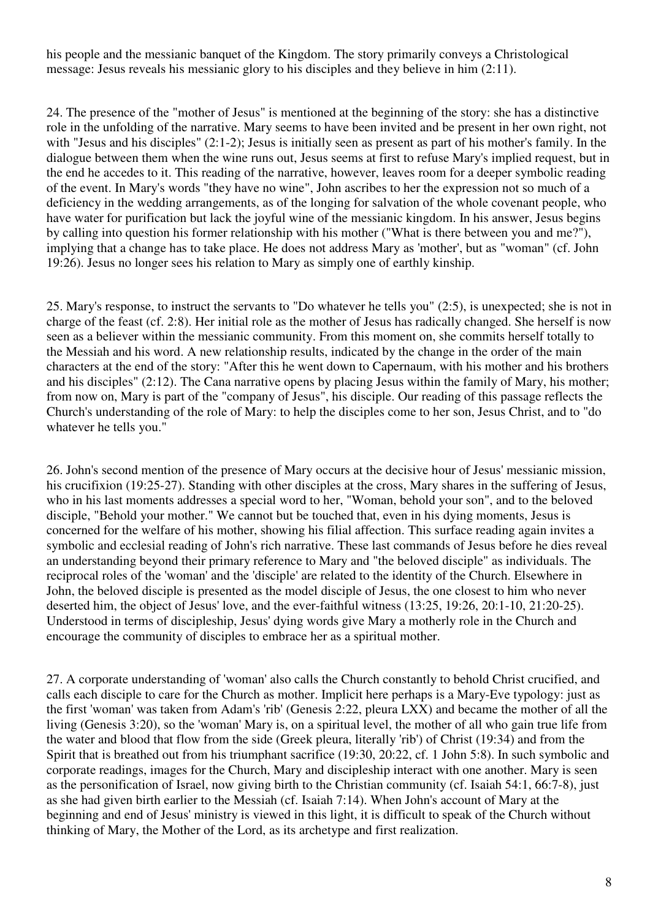his people and the messianic banquet of the Kingdom. The story primarily conveys a Christological message: Jesus reveals his messianic glory to his disciples and they believe in him (2:11).

24. The presence of the "mother of Jesus" is mentioned at the beginning of the story: she has a distinctive role in the unfolding of the narrative. Mary seems to have been invited and be present in her own right, not with "Jesus and his disciples" (2:1-2); Jesus is initially seen as present as part of his mother's family. In the dialogue between them when the wine runs out, Jesus seems at first to refuse Mary's implied request, but in the end he accedes to it. This reading of the narrative, however, leaves room for a deeper symbolic reading of the event. In Mary's words "they have no wine", John ascribes to her the expression not so much of a deficiency in the wedding arrangements, as of the longing for salvation of the whole covenant people, who have water for purification but lack the joyful wine of the messianic kingdom. In his answer, Jesus begins by calling into question his former relationship with his mother ("What is there between you and me?"), implying that a change has to take place. He does not address Mary as 'mother', but as "woman" (cf. John 19:26). Jesus no longer sees his relation to Mary as simply one of earthly kinship.

25. Mary's response, to instruct the servants to "Do whatever he tells you" (2:5), is unexpected; she is not in charge of the feast (cf. 2:8). Her initial role as the mother of Jesus has radically changed. She herself is now seen as a believer within the messianic community. From this moment on, she commits herself totally to the Messiah and his word. A new relationship results, indicated by the change in the order of the main characters at the end of the story: "After this he went down to Capernaum, with his mother and his brothers and his disciples" (2:12). The Cana narrative opens by placing Jesus within the family of Mary, his mother; from now on, Mary is part of the "company of Jesus", his disciple. Our reading of this passage reflects the Church's understanding of the role of Mary: to help the disciples come to her son, Jesus Christ, and to "do whatever he tells you."

26. John's second mention of the presence of Mary occurs at the decisive hour of Jesus' messianic mission, his crucifixion (19:25-27). Standing with other disciples at the cross, Mary shares in the suffering of Jesus, who in his last moments addresses a special word to her, "Woman, behold your son", and to the beloved disciple, "Behold your mother." We cannot but be touched that, even in his dying moments, Jesus is concerned for the welfare of his mother, showing his filial affection. This surface reading again invites a symbolic and ecclesial reading of John's rich narrative. These last commands of Jesus before he dies reveal an understanding beyond their primary reference to Mary and "the beloved disciple" as individuals. The reciprocal roles of the 'woman' and the 'disciple' are related to the identity of the Church. Elsewhere in John, the beloved disciple is presented as the model disciple of Jesus, the one closest to him who never deserted him, the object of Jesus' love, and the ever-faithful witness (13:25, 19:26, 20:1-10, 21:20-25). Understood in terms of discipleship, Jesus' dying words give Mary a motherly role in the Church and encourage the community of disciples to embrace her as a spiritual mother.

27. A corporate understanding of 'woman' also calls the Church constantly to behold Christ crucified, and calls each disciple to care for the Church as mother. Implicit here perhaps is a Mary-Eve typology: just as the first 'woman' was taken from Adam's 'rib' (Genesis 2:22, pleura LXX) and became the mother of all the living (Genesis 3:20), so the 'woman' Mary is, on a spiritual level, the mother of all who gain true life from the water and blood that flow from the side (Greek pleura, literally 'rib') of Christ (19:34) and from the Spirit that is breathed out from his triumphant sacrifice (19:30, 20:22, cf. 1 John 5:8). In such symbolic and corporate readings, images for the Church, Mary and discipleship interact with one another. Mary is seen as the personification of Israel, now giving birth to the Christian community (cf. Isaiah 54:1, 66:7-8), just as she had given birth earlier to the Messiah (cf. Isaiah 7:14). When John's account of Mary at the beginning and end of Jesus' ministry is viewed in this light, it is difficult to speak of the Church without thinking of Mary, the Mother of the Lord, as its archetype and first realization.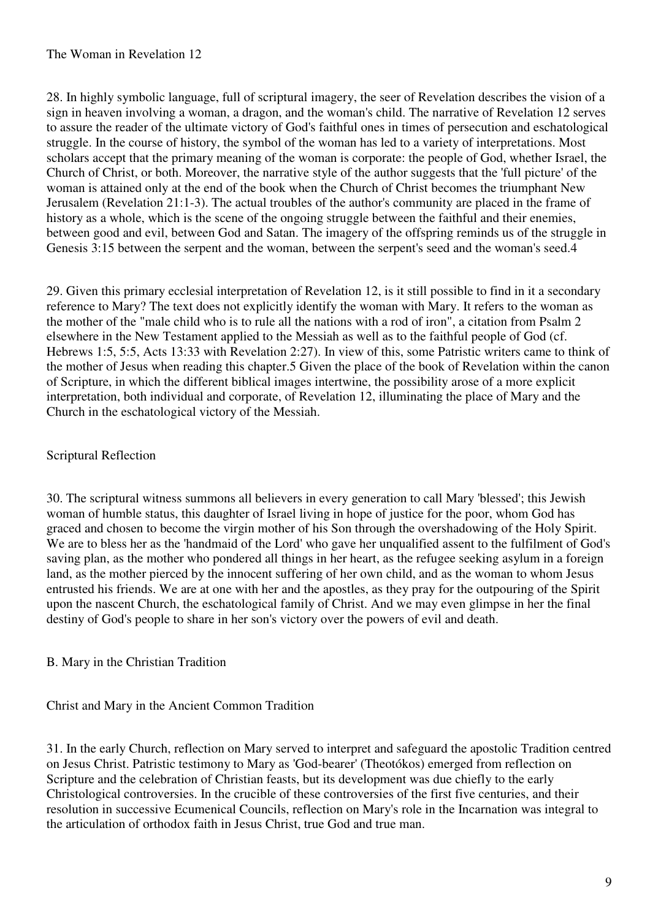#### The Woman in Revelation 12

28. In highly symbolic language, full of scriptural imagery, the seer of Revelation describes the vision of a sign in heaven involving a woman, a dragon, and the woman's child. The narrative of Revelation 12 serves to assure the reader of the ultimate victory of God's faithful ones in times of persecution and eschatological struggle. In the course of history, the symbol of the woman has led to a variety of interpretations. Most scholars accept that the primary meaning of the woman is corporate: the people of God, whether Israel, the Church of Christ, or both. Moreover, the narrative style of the author suggests that the 'full picture' of the woman is attained only at the end of the book when the Church of Christ becomes the triumphant New Jerusalem (Revelation 21:1-3). The actual troubles of the author's community are placed in the frame of history as a whole, which is the scene of the ongoing struggle between the faithful and their enemies, between good and evil, between God and Satan. The imagery of the offspring reminds us of the struggle in Genesis 3:15 between the serpent and the woman, between the serpent's seed and the woman's seed.4

29. Given this primary ecclesial interpretation of Revelation 12, is it still possible to find in it a secondary reference to Mary? The text does not explicitly identify the woman with Mary. It refers to the woman as the mother of the "male child who is to rule all the nations with a rod of iron", a citation from Psalm 2 elsewhere in the New Testament applied to the Messiah as well as to the faithful people of God (cf. Hebrews 1:5, 5:5, Acts 13:33 with Revelation 2:27). In view of this, some Patristic writers came to think of the mother of Jesus when reading this chapter.5 Given the place of the book of Revelation within the canon of Scripture, in which the different biblical images intertwine, the possibility arose of a more explicit interpretation, both individual and corporate, of Revelation 12, illuminating the place of Mary and the Church in the eschatological victory of the Messiah.

## Scriptural Reflection

30. The scriptural witness summons all believers in every generation to call Mary 'blessed'; this Jewish woman of humble status, this daughter of Israel living in hope of justice for the poor, whom God has graced and chosen to become the virgin mother of his Son through the overshadowing of the Holy Spirit. We are to bless her as the 'handmaid of the Lord' who gave her unqualified assent to the fulfilment of God's saving plan, as the mother who pondered all things in her heart, as the refugee seeking asylum in a foreign land, as the mother pierced by the innocent suffering of her own child, and as the woman to whom Jesus entrusted his friends. We are at one with her and the apostles, as they pray for the outpouring of the Spirit upon the nascent Church, the eschatological family of Christ. And we may even glimpse in her the final destiny of God's people to share in her son's victory over the powers of evil and death.

## B. Mary in the Christian Tradition

Christ and Mary in the Ancient Common Tradition

31. In the early Church, reflection on Mary served to interpret and safeguard the apostolic Tradition centred on Jesus Christ. Patristic testimony to Mary as 'God-bearer' (Theotókos) emerged from reflection on Scripture and the celebration of Christian feasts, but its development was due chiefly to the early Christological controversies. In the crucible of these controversies of the first five centuries, and their resolution in successive Ecumenical Councils, reflection on Mary's role in the Incarnation was integral to the articulation of orthodox faith in Jesus Christ, true God and true man.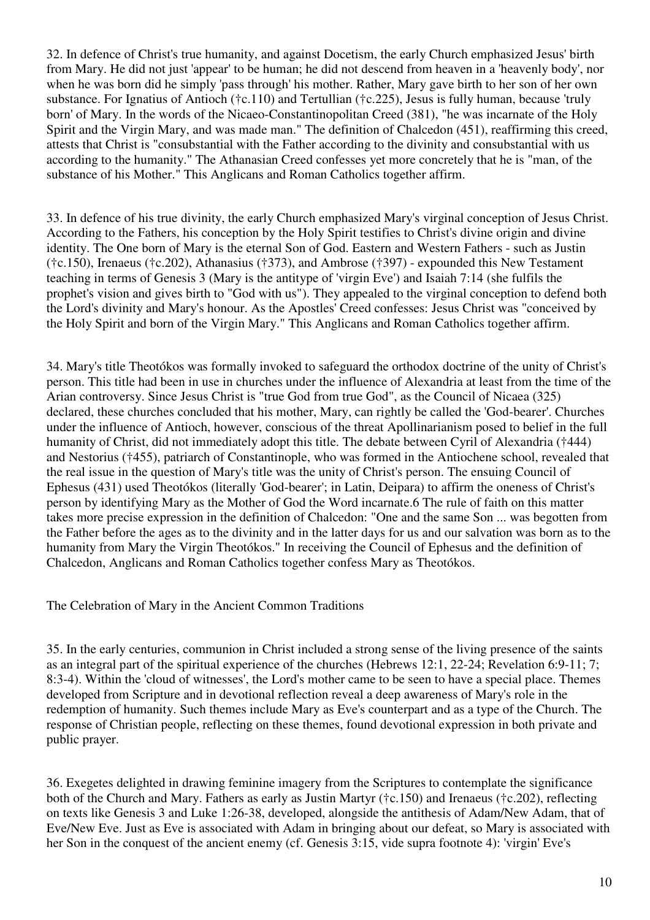32. In defence of Christ's true humanity, and against Docetism, the early Church emphasized Jesus' birth from Mary. He did not just 'appear' to be human; he did not descend from heaven in a 'heavenly body', nor when he was born did he simply 'pass through' his mother. Rather, Mary gave birth to her son of her own substance. For Ignatius of Antioch (†c.110) and Tertullian (†c.225), Jesus is fully human, because 'truly born' of Mary. In the words of the Nicaeo-Constantinopolitan Creed (381), "he was incarnate of the Holy Spirit and the Virgin Mary, and was made man." The definition of Chalcedon (451), reaffirming this creed, attests that Christ is "consubstantial with the Father according to the divinity and consubstantial with us according to the humanity." The Athanasian Creed confesses yet more concretely that he is "man, of the substance of his Mother." This Anglicans and Roman Catholics together affirm.

33. In defence of his true divinity, the early Church emphasized Mary's virginal conception of Jesus Christ. According to the Fathers, his conception by the Holy Spirit testifies to Christ's divine origin and divine identity. The One born of Mary is the eternal Son of God. Eastern and Western Fathers - such as Justin (†c.150), Irenaeus (†c.202), Athanasius (†373), and Ambrose (†397) - expounded this New Testament teaching in terms of Genesis 3 (Mary is the antitype of 'virgin Eve') and Isaiah 7:14 (she fulfils the prophet's vision and gives birth to "God with us"). They appealed to the virginal conception to defend both the Lord's divinity and Mary's honour. As the Apostles' Creed confesses: Jesus Christ was "conceived by the Holy Spirit and born of the Virgin Mary." This Anglicans and Roman Catholics together affirm.

34. Mary's title Theotókos was formally invoked to safeguard the orthodox doctrine of the unity of Christ's person. This title had been in use in churches under the influence of Alexandria at least from the time of the Arian controversy. Since Jesus Christ is "true God from true God", as the Council of Nicaea (325) declared, these churches concluded that his mother, Mary, can rightly be called the 'God-bearer'. Churches under the influence of Antioch, however, conscious of the threat Apollinarianism posed to belief in the full humanity of Christ, did not immediately adopt this title. The debate between Cyril of Alexandria (†444) and Nestorius (†455), patriarch of Constantinople, who was formed in the Antiochene school, revealed that the real issue in the question of Mary's title was the unity of Christ's person. The ensuing Council of Ephesus (431) used Theotókos (literally 'God-bearer'; in Latin, Deipara) to affirm the oneness of Christ's person by identifying Mary as the Mother of God the Word incarnate.6 The rule of faith on this matter takes more precise expression in the definition of Chalcedon: "One and the same Son ... was begotten from the Father before the ages as to the divinity and in the latter days for us and our salvation was born as to the humanity from Mary the Virgin Theotókos." In receiving the Council of Ephesus and the definition of Chalcedon, Anglicans and Roman Catholics together confess Mary as Theotókos.

The Celebration of Mary in the Ancient Common Traditions

35. In the early centuries, communion in Christ included a strong sense of the living presence of the saints as an integral part of the spiritual experience of the churches (Hebrews 12:1, 22-24; Revelation 6:9-11; 7; 8:3-4). Within the 'cloud of witnesses', the Lord's mother came to be seen to have a special place. Themes developed from Scripture and in devotional reflection reveal a deep awareness of Mary's role in the redemption of humanity. Such themes include Mary as Eve's counterpart and as a type of the Church. The response of Christian people, reflecting on these themes, found devotional expression in both private and public prayer.

36. Exegetes delighted in drawing feminine imagery from the Scriptures to contemplate the significance both of the Church and Mary. Fathers as early as Justin Martyr (†c.150) and Irenaeus (†c.202), reflecting on texts like Genesis 3 and Luke 1:26-38, developed, alongside the antithesis of Adam/New Adam, that of Eve/New Eve. Just as Eve is associated with Adam in bringing about our defeat, so Mary is associated with her Son in the conquest of the ancient enemy (cf. Genesis 3:15, vide supra footnote 4): 'virgin' Eve's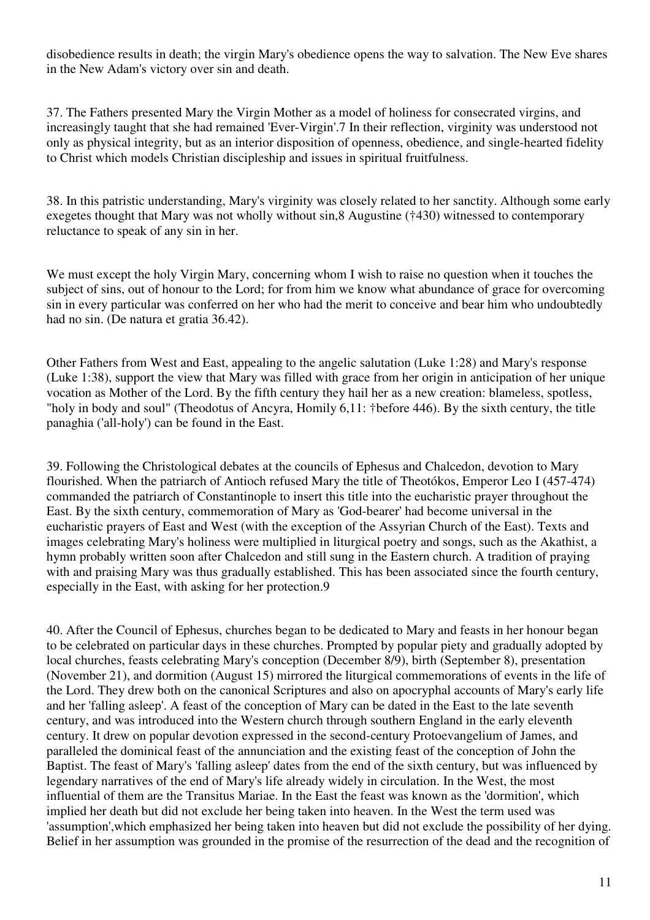disobedience results in death; the virgin Mary's obedience opens the way to salvation. The New Eve shares in the New Adam's victory over sin and death.

37. The Fathers presented Mary the Virgin Mother as a model of holiness for consecrated virgins, and increasingly taught that she had remained 'Ever-Virgin'.7 In their reflection, virginity was understood not only as physical integrity, but as an interior disposition of openness, obedience, and single-hearted fidelity to Christ which models Christian discipleship and issues in spiritual fruitfulness.

38. In this patristic understanding, Mary's virginity was closely related to her sanctity. Although some early exegetes thought that Mary was not wholly without sin,8 Augustine (†430) witnessed to contemporary reluctance to speak of any sin in her.

We must except the holy Virgin Mary, concerning whom I wish to raise no question when it touches the subject of sins, out of honour to the Lord; for from him we know what abundance of grace for overcoming sin in every particular was conferred on her who had the merit to conceive and bear him who undoubtedly had no sin. (De natura et gratia 36.42).

Other Fathers from West and East, appealing to the angelic salutation (Luke 1:28) and Mary's response (Luke 1:38), support the view that Mary was filled with grace from her origin in anticipation of her unique vocation as Mother of the Lord. By the fifth century they hail her as a new creation: blameless, spotless, "holy in body and soul" (Theodotus of Ancyra, Homily 6,11: †before 446). By the sixth century, the title panaghia ('all-holy') can be found in the East.

39. Following the Christological debates at the councils of Ephesus and Chalcedon, devotion to Mary flourished. When the patriarch of Antioch refused Mary the title of Theotókos, Emperor Leo I (457-474) commanded the patriarch of Constantinople to insert this title into the eucharistic prayer throughout the East. By the sixth century, commemoration of Mary as 'God-bearer' had become universal in the eucharistic prayers of East and West (with the exception of the Assyrian Church of the East). Texts and images celebrating Mary's holiness were multiplied in liturgical poetry and songs, such as the Akathist, a hymn probably written soon after Chalcedon and still sung in the Eastern church. A tradition of praying with and praising Mary was thus gradually established. This has been associated since the fourth century, especially in the East, with asking for her protection.9

40. After the Council of Ephesus, churches began to be dedicated to Mary and feasts in her honour began to be celebrated on particular days in these churches. Prompted by popular piety and gradually adopted by local churches, feasts celebrating Mary's conception (December 8/9), birth (September 8), presentation (November 21), and dormition (August 15) mirrored the liturgical commemorations of events in the life of the Lord. They drew both on the canonical Scriptures and also on apocryphal accounts of Mary's early life and her 'falling asleep'. A feast of the conception of Mary can be dated in the East to the late seventh century, and was introduced into the Western church through southern England in the early eleventh century. It drew on popular devotion expressed in the second-century Protoevangelium of James, and paralleled the dominical feast of the annunciation and the existing feast of the conception of John the Baptist. The feast of Mary's 'falling asleep' dates from the end of the sixth century, but was influenced by legendary narratives of the end of Mary's life already widely in circulation. In the West, the most influential of them are the Transitus Mariae. In the East the feast was known as the 'dormition', which implied her death but did not exclude her being taken into heaven. In the West the term used was 'assumption',which emphasized her being taken into heaven but did not exclude the possibility of her dying. Belief in her assumption was grounded in the promise of the resurrection of the dead and the recognition of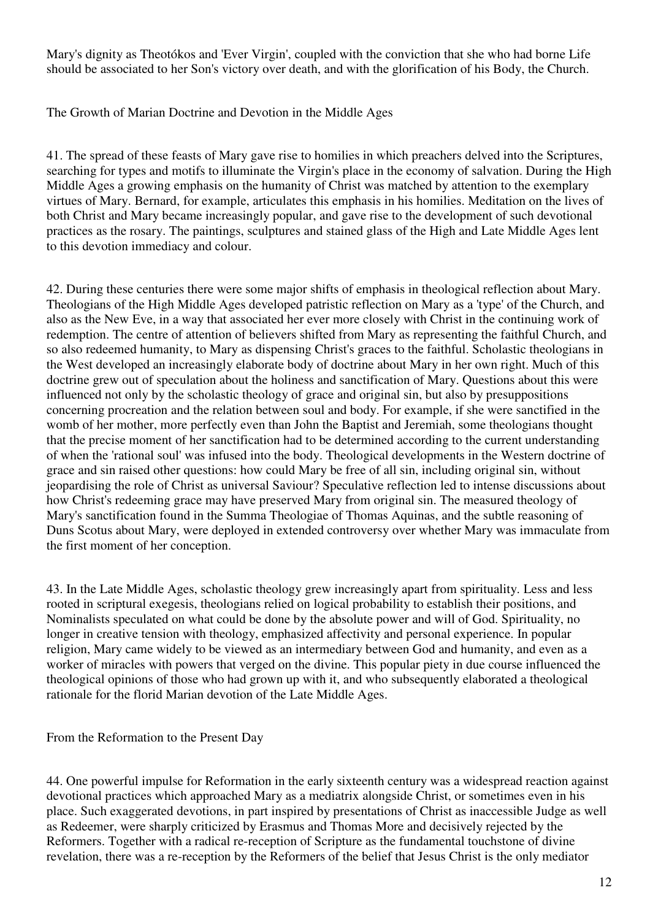Mary's dignity as Theotókos and 'Ever Virgin', coupled with the conviction that she who had borne Life should be associated to her Son's victory over death, and with the glorification of his Body, the Church.

The Growth of Marian Doctrine and Devotion in the Middle Ages

41. The spread of these feasts of Mary gave rise to homilies in which preachers delved into the Scriptures, searching for types and motifs to illuminate the Virgin's place in the economy of salvation. During the High Middle Ages a growing emphasis on the humanity of Christ was matched by attention to the exemplary virtues of Mary. Bernard, for example, articulates this emphasis in his homilies. Meditation on the lives of both Christ and Mary became increasingly popular, and gave rise to the development of such devotional practices as the rosary. The paintings, sculptures and stained glass of the High and Late Middle Ages lent to this devotion immediacy and colour.

42. During these centuries there were some major shifts of emphasis in theological reflection about Mary. Theologians of the High Middle Ages developed patristic reflection on Mary as a 'type' of the Church, and also as the New Eve, in a way that associated her ever more closely with Christ in the continuing work of redemption. The centre of attention of believers shifted from Mary as representing the faithful Church, and so also redeemed humanity, to Mary as dispensing Christ's graces to the faithful. Scholastic theologians in the West developed an increasingly elaborate body of doctrine about Mary in her own right. Much of this doctrine grew out of speculation about the holiness and sanctification of Mary. Questions about this were influenced not only by the scholastic theology of grace and original sin, but also by presuppositions concerning procreation and the relation between soul and body. For example, if she were sanctified in the womb of her mother, more perfectly even than John the Baptist and Jeremiah, some theologians thought that the precise moment of her sanctification had to be determined according to the current understanding of when the 'rational soul' was infused into the body. Theological developments in the Western doctrine of grace and sin raised other questions: how could Mary be free of all sin, including original sin, without jeopardising the role of Christ as universal Saviour? Speculative reflection led to intense discussions about how Christ's redeeming grace may have preserved Mary from original sin. The measured theology of Mary's sanctification found in the Summa Theologiae of Thomas Aquinas, and the subtle reasoning of Duns Scotus about Mary, were deployed in extended controversy over whether Mary was immaculate from the first moment of her conception.

43. In the Late Middle Ages, scholastic theology grew increasingly apart from spirituality. Less and less rooted in scriptural exegesis, theologians relied on logical probability to establish their positions, and Nominalists speculated on what could be done by the absolute power and will of God. Spirituality, no longer in creative tension with theology, emphasized affectivity and personal experience. In popular religion, Mary came widely to be viewed as an intermediary between God and humanity, and even as a worker of miracles with powers that verged on the divine. This popular piety in due course influenced the theological opinions of those who had grown up with it, and who subsequently elaborated a theological rationale for the florid Marian devotion of the Late Middle Ages.

From the Reformation to the Present Day

44. One powerful impulse for Reformation in the early sixteenth century was a widespread reaction against devotional practices which approached Mary as a mediatrix alongside Christ, or sometimes even in his place. Such exaggerated devotions, in part inspired by presentations of Christ as inaccessible Judge as well as Redeemer, were sharply criticized by Erasmus and Thomas More and decisively rejected by the Reformers. Together with a radical re-reception of Scripture as the fundamental touchstone of divine revelation, there was a re-reception by the Reformers of the belief that Jesus Christ is the only mediator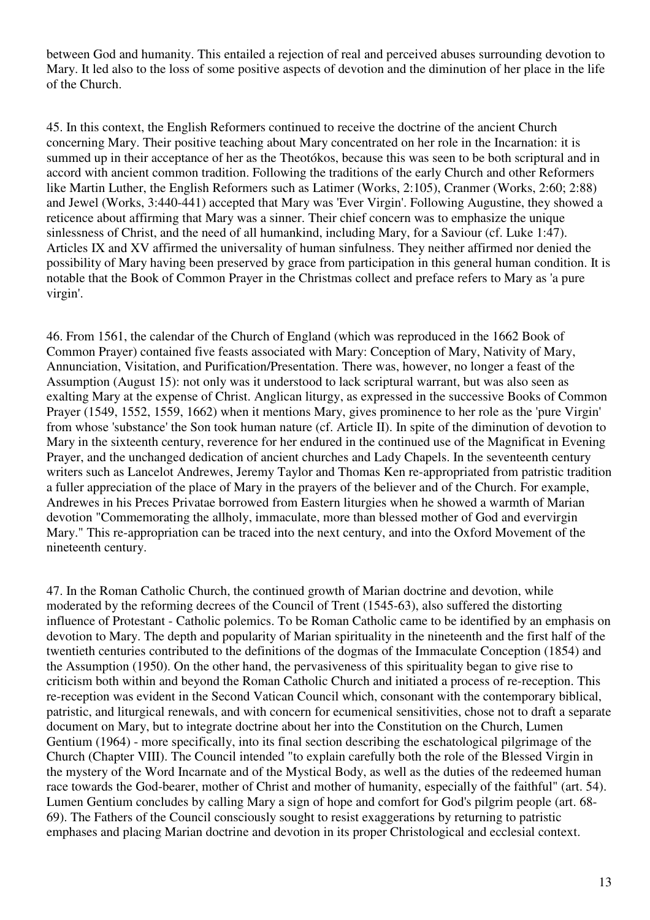between God and humanity. This entailed a rejection of real and perceived abuses surrounding devotion to Mary. It led also to the loss of some positive aspects of devotion and the diminution of her place in the life of the Church.

45. In this context, the English Reformers continued to receive the doctrine of the ancient Church concerning Mary. Their positive teaching about Mary concentrated on her role in the Incarnation: it is summed up in their acceptance of her as the Theotókos, because this was seen to be both scriptural and in accord with ancient common tradition. Following the traditions of the early Church and other Reformers like Martin Luther, the English Reformers such as Latimer (Works, 2:105), Cranmer (Works, 2:60; 2:88) and Jewel (Works, 3:440-441) accepted that Mary was 'Ever Virgin'. Following Augustine, they showed a reticence about affirming that Mary was a sinner. Their chief concern was to emphasize the unique sinlessness of Christ, and the need of all humankind, including Mary, for a Saviour (cf. Luke 1:47). Articles IX and XV affirmed the universality of human sinfulness. They neither affirmed nor denied the possibility of Mary having been preserved by grace from participation in this general human condition. It is notable that the Book of Common Prayer in the Christmas collect and preface refers to Mary as 'a pure virgin'.

46. From 1561, the calendar of the Church of England (which was reproduced in the 1662 Book of Common Prayer) contained five feasts associated with Mary: Conception of Mary, Nativity of Mary, Annunciation, Visitation, and Purification/Presentation. There was, however, no longer a feast of the Assumption (August 15): not only was it understood to lack scriptural warrant, but was also seen as exalting Mary at the expense of Christ. Anglican liturgy, as expressed in the successive Books of Common Prayer (1549, 1552, 1559, 1662) when it mentions Mary, gives prominence to her role as the 'pure Virgin' from whose 'substance' the Son took human nature (cf. Article II). In spite of the diminution of devotion to Mary in the sixteenth century, reverence for her endured in the continued use of the Magnificat in Evening Prayer, and the unchanged dedication of ancient churches and Lady Chapels. In the seventeenth century writers such as Lancelot Andrewes, Jeremy Taylor and Thomas Ken re-appropriated from patristic tradition a fuller appreciation of the place of Mary in the prayers of the believer and of the Church. For example, Andrewes in his Preces Privatae borrowed from Eastern liturgies when he showed a warmth of Marian devotion "Commemorating the allholy, immaculate, more than blessed mother of God and evervirgin Mary." This re-appropriation can be traced into the next century, and into the Oxford Movement of the nineteenth century.

47. In the Roman Catholic Church, the continued growth of Marian doctrine and devotion, while moderated by the reforming decrees of the Council of Trent (1545-63), also suffered the distorting influence of Protestant - Catholic polemics. To be Roman Catholic came to be identified by an emphasis on devotion to Mary. The depth and popularity of Marian spirituality in the nineteenth and the first half of the twentieth centuries contributed to the definitions of the dogmas of the Immaculate Conception (1854) and the Assumption (1950). On the other hand, the pervasiveness of this spirituality began to give rise to criticism both within and beyond the Roman Catholic Church and initiated a process of re-reception. This re-reception was evident in the Second Vatican Council which, consonant with the contemporary biblical, patristic, and liturgical renewals, and with concern for ecumenical sensitivities, chose not to draft a separate document on Mary, but to integrate doctrine about her into the Constitution on the Church, Lumen Gentium (1964) - more specifically, into its final section describing the eschatological pilgrimage of the Church (Chapter VIII). The Council intended "to explain carefully both the role of the Blessed Virgin in the mystery of the Word Incarnate and of the Mystical Body, as well as the duties of the redeemed human race towards the God-bearer, mother of Christ and mother of humanity, especially of the faithful" (art. 54). Lumen Gentium concludes by calling Mary a sign of hope and comfort for God's pilgrim people (art. 68- 69). The Fathers of the Council consciously sought to resist exaggerations by returning to patristic emphases and placing Marian doctrine and devotion in its proper Christological and ecclesial context.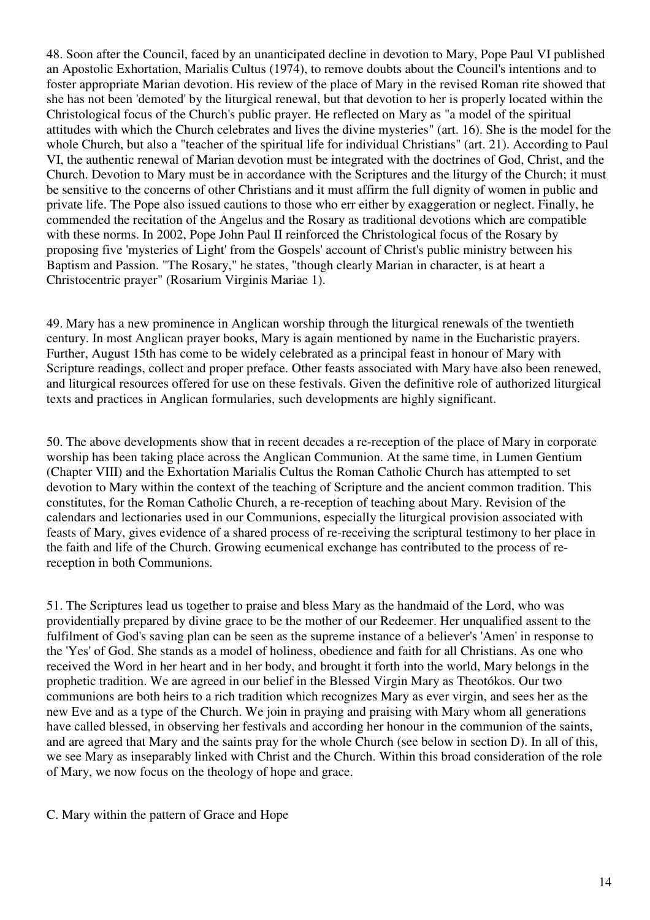48. Soon after the Council, faced by an unanticipated decline in devotion to Mary, Pope Paul VI published an Apostolic Exhortation, Marialis Cultus (1974), to remove doubts about the Council's intentions and to foster appropriate Marian devotion. His review of the place of Mary in the revised Roman rite showed that she has not been 'demoted' by the liturgical renewal, but that devotion to her is properly located within the Christological focus of the Church's public prayer. He reflected on Mary as "a model of the spiritual attitudes with which the Church celebrates and lives the divine mysteries" (art. 16). She is the model for the whole Church, but also a "teacher of the spiritual life for individual Christians" (art. 21). According to Paul VI, the authentic renewal of Marian devotion must be integrated with the doctrines of God, Christ, and the Church. Devotion to Mary must be in accordance with the Scriptures and the liturgy of the Church; it must be sensitive to the concerns of other Christians and it must affirm the full dignity of women in public and private life. The Pope also issued cautions to those who err either by exaggeration or neglect. Finally, he commended the recitation of the Angelus and the Rosary as traditional devotions which are compatible with these norms. In 2002, Pope John Paul II reinforced the Christological focus of the Rosary by proposing five 'mysteries of Light' from the Gospels' account of Christ's public ministry between his Baptism and Passion. "The Rosary," he states, "though clearly Marian in character, is at heart a Christocentric prayer" (Rosarium Virginis Mariae 1).

49. Mary has a new prominence in Anglican worship through the liturgical renewals of the twentieth century. In most Anglican prayer books, Mary is again mentioned by name in the Eucharistic prayers. Further, August 15th has come to be widely celebrated as a principal feast in honour of Mary with Scripture readings, collect and proper preface. Other feasts associated with Mary have also been renewed, and liturgical resources offered for use on these festivals. Given the definitive role of authorized liturgical texts and practices in Anglican formularies, such developments are highly significant.

50. The above developments show that in recent decades a re-reception of the place of Mary in corporate worship has been taking place across the Anglican Communion. At the same time, in Lumen Gentium (Chapter VIII) and the Exhortation Marialis Cultus the Roman Catholic Church has attempted to set devotion to Mary within the context of the teaching of Scripture and the ancient common tradition. This constitutes, for the Roman Catholic Church, a re-reception of teaching about Mary. Revision of the calendars and lectionaries used in our Communions, especially the liturgical provision associated with feasts of Mary, gives evidence of a shared process of re-receiving the scriptural testimony to her place in the faith and life of the Church. Growing ecumenical exchange has contributed to the process of rereception in both Communions.

51. The Scriptures lead us together to praise and bless Mary as the handmaid of the Lord, who was providentially prepared by divine grace to be the mother of our Redeemer. Her unqualified assent to the fulfilment of God's saving plan can be seen as the supreme instance of a believer's 'Amen' in response to the 'Yes' of God. She stands as a model of holiness, obedience and faith for all Christians. As one who received the Word in her heart and in her body, and brought it forth into the world, Mary belongs in the prophetic tradition. We are agreed in our belief in the Blessed Virgin Mary as Theotókos. Our two communions are both heirs to a rich tradition which recognizes Mary as ever virgin, and sees her as the new Eve and as a type of the Church. We join in praying and praising with Mary whom all generations have called blessed, in observing her festivals and according her honour in the communion of the saints, and are agreed that Mary and the saints pray for the whole Church (see below in section D). In all of this, we see Mary as inseparably linked with Christ and the Church. Within this broad consideration of the role of Mary, we now focus on the theology of hope and grace.

C. Mary within the pattern of Grace and Hope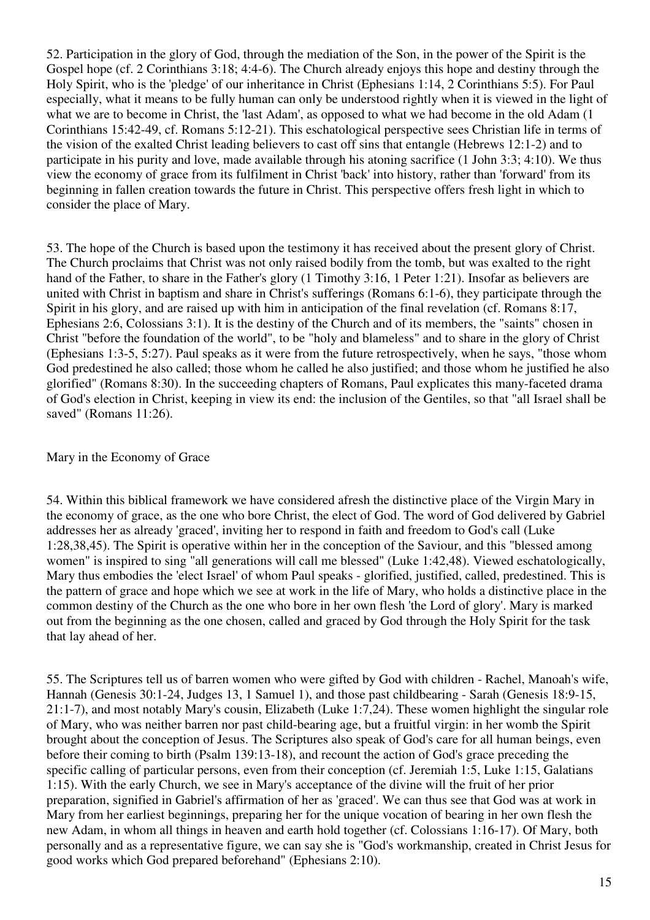52. Participation in the glory of God, through the mediation of the Son, in the power of the Spirit is the Gospel hope (cf. 2 Corinthians 3:18; 4:4-6). The Church already enjoys this hope and destiny through the Holy Spirit, who is the 'pledge' of our inheritance in Christ (Ephesians 1:14, 2 Corinthians 5:5). For Paul especially, what it means to be fully human can only be understood rightly when it is viewed in the light of what we are to become in Christ, the 'last Adam', as opposed to what we had become in the old Adam (1) Corinthians 15:42-49, cf. Romans 5:12-21). This eschatological perspective sees Christian life in terms of the vision of the exalted Christ leading believers to cast off sins that entangle (Hebrews 12:1-2) and to participate in his purity and love, made available through his atoning sacrifice (1 John 3:3; 4:10). We thus view the economy of grace from its fulfilment in Christ 'back' into history, rather than 'forward' from its beginning in fallen creation towards the future in Christ. This perspective offers fresh light in which to consider the place of Mary.

53. The hope of the Church is based upon the testimony it has received about the present glory of Christ. The Church proclaims that Christ was not only raised bodily from the tomb, but was exalted to the right hand of the Father, to share in the Father's glory (1 Timothy 3:16, 1 Peter 1:21). Insofar as believers are united with Christ in baptism and share in Christ's sufferings (Romans 6:1-6), they participate through the Spirit in his glory, and are raised up with him in anticipation of the final revelation (cf. Romans 8:17, Ephesians 2:6, Colossians 3:1). It is the destiny of the Church and of its members, the "saints" chosen in Christ "before the foundation of the world", to be "holy and blameless" and to share in the glory of Christ (Ephesians 1:3-5, 5:27). Paul speaks as it were from the future retrospectively, when he says, "those whom God predestined he also called; those whom he called he also justified; and those whom he justified he also glorified" (Romans 8:30). In the succeeding chapters of Romans, Paul explicates this many-faceted drama of God's election in Christ, keeping in view its end: the inclusion of the Gentiles, so that "all Israel shall be saved" (Romans 11:26).

Mary in the Economy of Grace

54. Within this biblical framework we have considered afresh the distinctive place of the Virgin Mary in the economy of grace, as the one who bore Christ, the elect of God. The word of God delivered by Gabriel addresses her as already 'graced', inviting her to respond in faith and freedom to God's call (Luke 1:28,38,45). The Spirit is operative within her in the conception of the Saviour, and this "blessed among women" is inspired to sing "all generations will call me blessed" (Luke 1:42,48). Viewed eschatologically, Mary thus embodies the 'elect Israel' of whom Paul speaks - glorified, justified, called, predestined. This is the pattern of grace and hope which we see at work in the life of Mary, who holds a distinctive place in the common destiny of the Church as the one who bore in her own flesh 'the Lord of glory'. Mary is marked out from the beginning as the one chosen, called and graced by God through the Holy Spirit for the task that lay ahead of her.

55. The Scriptures tell us of barren women who were gifted by God with children - Rachel, Manoah's wife, Hannah (Genesis 30:1-24, Judges 13, 1 Samuel 1), and those past childbearing - Sarah (Genesis 18:9-15, 21:1-7), and most notably Mary's cousin, Elizabeth (Luke 1:7,24). These women highlight the singular role of Mary, who was neither barren nor past child-bearing age, but a fruitful virgin: in her womb the Spirit brought about the conception of Jesus. The Scriptures also speak of God's care for all human beings, even before their coming to birth (Psalm 139:13-18), and recount the action of God's grace preceding the specific calling of particular persons, even from their conception (cf. Jeremiah 1:5, Luke 1:15, Galatians 1:15). With the early Church, we see in Mary's acceptance of the divine will the fruit of her prior preparation, signified in Gabriel's affirmation of her as 'graced'. We can thus see that God was at work in Mary from her earliest beginnings, preparing her for the unique vocation of bearing in her own flesh the new Adam, in whom all things in heaven and earth hold together (cf. Colossians 1:16-17). Of Mary, both personally and as a representative figure, we can say she is "God's workmanship, created in Christ Jesus for good works which God prepared beforehand" (Ephesians 2:10).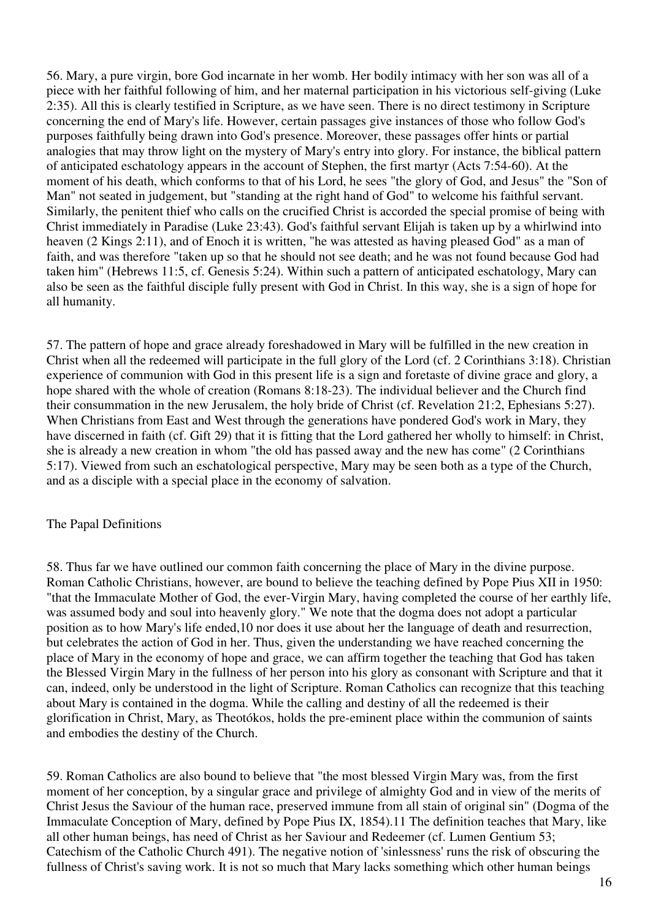56. Mary, a pure virgin, bore God incarnate in her womb. Her bodily intimacy with her son was all of a piece with her faithful following of him, and her maternal participation in his victorious self-giving (Luke 2:35). All this is clearly testified in Scripture, as we have seen. There is no direct testimony in Scripture concerning the end of Mary's life. However, certain passages give instances of those who follow God's purposes faithfully being drawn into God's presence. Moreover, these passages offer hints or partial analogies that may throw light on the mystery of Mary's entry into glory. For instance, the biblical pattern of anticipated eschatology appears in the account of Stephen, the first martyr (Acts 7:54-60). At the moment of his death, which conforms to that of his Lord, he sees "the glory of God, and Jesus" the "Son of Man" not seated in judgement, but "standing at the right hand of God" to welcome his faithful servant. Similarly, the penitent thief who calls on the crucified Christ is accorded the special promise of being with Christ immediately in Paradise (Luke 23:43). God's faithful servant Elijah is taken up by a whirlwind into heaven (2 Kings 2:11), and of Enoch it is written, "he was attested as having pleased God" as a man of faith, and was therefore "taken up so that he should not see death; and he was not found because God had taken him" (Hebrews 11:5, cf. Genesis 5:24). Within such a pattern of anticipated eschatology, Mary can also be seen as the faithful disciple fully present with God in Christ. In this way, she is a sign of hope for all humanity.

57. The pattern of hope and grace already foreshadowed in Mary will be fulfilled in the new creation in Christ when all the redeemed will participate in the full glory of the Lord (cf. 2 Corinthians 3:18). Christian experience of communion with God in this present life is a sign and foretaste of divine grace and glory, a hope shared with the whole of creation (Romans 8:18-23). The individual believer and the Church find their consummation in the new Jerusalem, the holy bride of Christ (cf. Revelation 21:2, Ephesians 5:27). When Christians from East and West through the generations have pondered God's work in Mary, they have discerned in faith (cf. Gift 29) that it is fitting that the Lord gathered her wholly to himself: in Christ, she is already a new creation in whom "the old has passed away and the new has come" (2 Corinthians 5:17). Viewed from such an eschatological perspective, Mary may be seen both as a type of the Church, and as a disciple with a special place in the economy of salvation.

## The Papal Definitions

58. Thus far we have outlined our common faith concerning the place of Mary in the divine purpose. Roman Catholic Christians, however, are bound to believe the teaching defined by Pope Pius XII in 1950: "that the Immaculate Mother of God, the ever-Virgin Mary, having completed the course of her earthly life, was assumed body and soul into heavenly glory." We note that the dogma does not adopt a particular position as to how Mary's life ended,10 nor does it use about her the language of death and resurrection, but celebrates the action of God in her. Thus, given the understanding we have reached concerning the place of Mary in the economy of hope and grace, we can affirm together the teaching that God has taken the Blessed Virgin Mary in the fullness of her person into his glory as consonant with Scripture and that it can, indeed, only be understood in the light of Scripture. Roman Catholics can recognize that this teaching about Mary is contained in the dogma. While the calling and destiny of all the redeemed is their glorification in Christ, Mary, as Theotókos, holds the pre-eminent place within the communion of saints and embodies the destiny of the Church.

59. Roman Catholics are also bound to believe that "the most blessed Virgin Mary was, from the first moment of her conception, by a singular grace and privilege of almighty God and in view of the merits of Christ Jesus the Saviour of the human race, preserved immune from all stain of original sin" (Dogma of the Immaculate Conception of Mary, defined by Pope Pius IX, 1854).11 The definition teaches that Mary, like all other human beings, has need of Christ as her Saviour and Redeemer (cf. Lumen Gentium 53; Catechism of the Catholic Church 491). The negative notion of 'sinlessness' runs the risk of obscuring the fullness of Christ's saving work. It is not so much that Mary lacks something which other human beings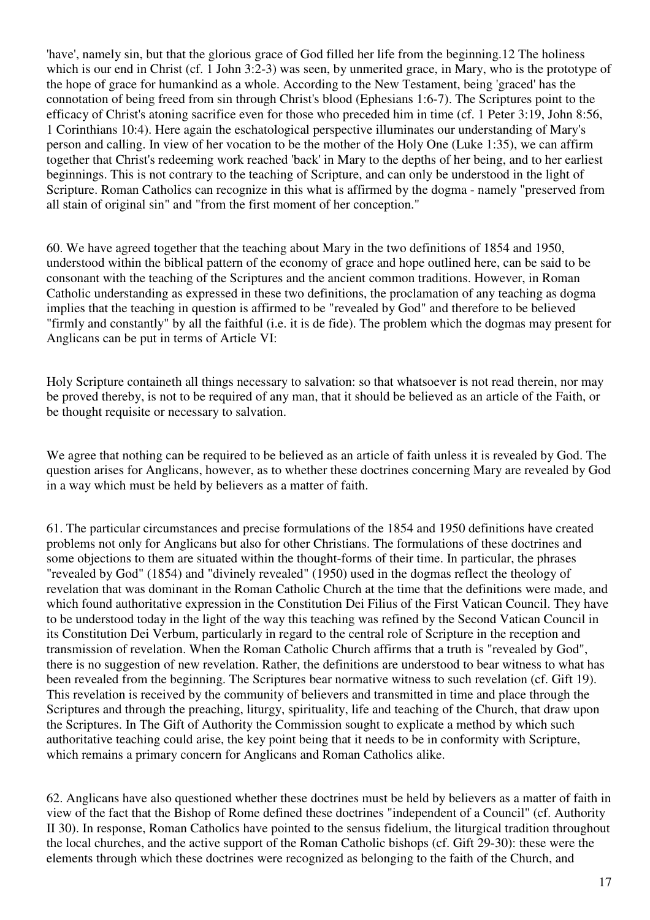'have', namely sin, but that the glorious grace of God filled her life from the beginning.12 The holiness which is our end in Christ (cf. 1 John 3:2-3) was seen, by unmerited grace, in Mary, who is the prototype of the hope of grace for humankind as a whole. According to the New Testament, being 'graced' has the connotation of being freed from sin through Christ's blood (Ephesians 1:6-7). The Scriptures point to the efficacy of Christ's atoning sacrifice even for those who preceded him in time (cf. 1 Peter 3:19, John 8:56, 1 Corinthians 10:4). Here again the eschatological perspective illuminates our understanding of Mary's person and calling. In view of her vocation to be the mother of the Holy One (Luke 1:35), we can affirm together that Christ's redeeming work reached 'back' in Mary to the depths of her being, and to her earliest beginnings. This is not contrary to the teaching of Scripture, and can only be understood in the light of Scripture. Roman Catholics can recognize in this what is affirmed by the dogma - namely "preserved from all stain of original sin" and "from the first moment of her conception."

60. We have agreed together that the teaching about Mary in the two definitions of 1854 and 1950, understood within the biblical pattern of the economy of grace and hope outlined here, can be said to be consonant with the teaching of the Scriptures and the ancient common traditions. However, in Roman Catholic understanding as expressed in these two definitions, the proclamation of any teaching as dogma implies that the teaching in question is affirmed to be "revealed by God" and therefore to be believed "firmly and constantly" by all the faithful (i.e. it is de fide). The problem which the dogmas may present for Anglicans can be put in terms of Article VI:

Holy Scripture containeth all things necessary to salvation: so that whatsoever is not read therein, nor may be proved thereby, is not to be required of any man, that it should be believed as an article of the Faith, or be thought requisite or necessary to salvation.

We agree that nothing can be required to be believed as an article of faith unless it is revealed by God. The question arises for Anglicans, however, as to whether these doctrines concerning Mary are revealed by God in a way which must be held by believers as a matter of faith.

61. The particular circumstances and precise formulations of the 1854 and 1950 definitions have created problems not only for Anglicans but also for other Christians. The formulations of these doctrines and some objections to them are situated within the thought-forms of their time. In particular, the phrases "revealed by God" (1854) and "divinely revealed" (1950) used in the dogmas reflect the theology of revelation that was dominant in the Roman Catholic Church at the time that the definitions were made, and which found authoritative expression in the Constitution Dei Filius of the First Vatican Council. They have to be understood today in the light of the way this teaching was refined by the Second Vatican Council in its Constitution Dei Verbum, particularly in regard to the central role of Scripture in the reception and transmission of revelation. When the Roman Catholic Church affirms that a truth is "revealed by God", there is no suggestion of new revelation. Rather, the definitions are understood to bear witness to what has been revealed from the beginning. The Scriptures bear normative witness to such revelation (cf. Gift 19). This revelation is received by the community of believers and transmitted in time and place through the Scriptures and through the preaching, liturgy, spirituality, life and teaching of the Church, that draw upon the Scriptures. In The Gift of Authority the Commission sought to explicate a method by which such authoritative teaching could arise, the key point being that it needs to be in conformity with Scripture, which remains a primary concern for Anglicans and Roman Catholics alike.

62. Anglicans have also questioned whether these doctrines must be held by believers as a matter of faith in view of the fact that the Bishop of Rome defined these doctrines "independent of a Council" (cf. Authority II 30). In response, Roman Catholics have pointed to the sensus fidelium, the liturgical tradition throughout the local churches, and the active support of the Roman Catholic bishops (cf. Gift 29-30): these were the elements through which these doctrines were recognized as belonging to the faith of the Church, and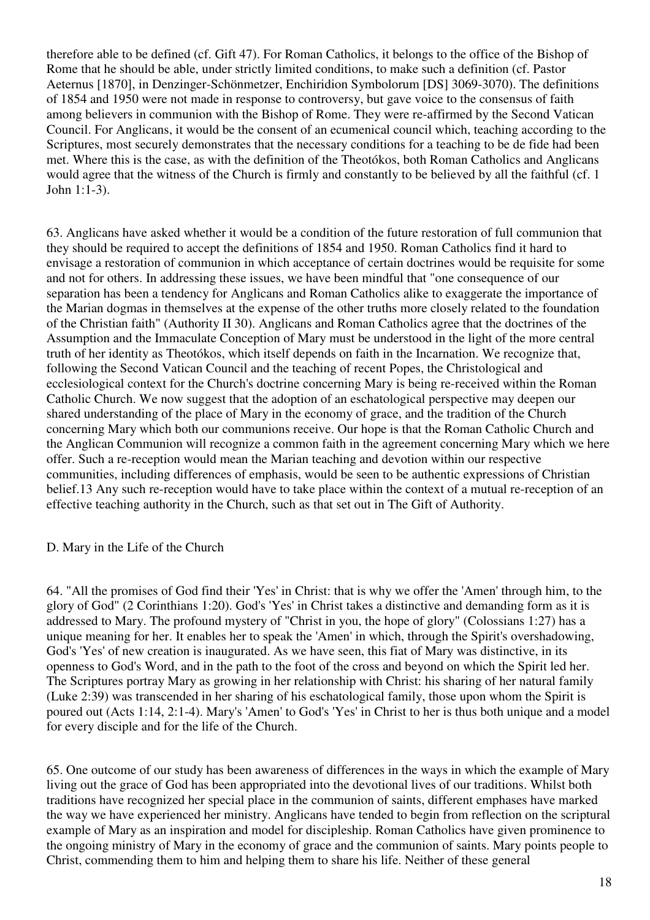therefore able to be defined (cf. Gift 47). For Roman Catholics, it belongs to the office of the Bishop of Rome that he should be able, under strictly limited conditions, to make such a definition (cf. Pastor Aeternus [1870], in Denzinger-Schönmetzer, Enchiridion Symbolorum [DS] 3069-3070). The definitions of 1854 and 1950 were not made in response to controversy, but gave voice to the consensus of faith among believers in communion with the Bishop of Rome. They were re-affirmed by the Second Vatican Council. For Anglicans, it would be the consent of an ecumenical council which, teaching according to the Scriptures, most securely demonstrates that the necessary conditions for a teaching to be de fide had been met. Where this is the case, as with the definition of the Theotókos, both Roman Catholics and Anglicans would agree that the witness of the Church is firmly and constantly to be believed by all the faithful (cf. 1 John 1:1-3).

63. Anglicans have asked whether it would be a condition of the future restoration of full communion that they should be required to accept the definitions of 1854 and 1950. Roman Catholics find it hard to envisage a restoration of communion in which acceptance of certain doctrines would be requisite for some and not for others. In addressing these issues, we have been mindful that "one consequence of our separation has been a tendency for Anglicans and Roman Catholics alike to exaggerate the importance of the Marian dogmas in themselves at the expense of the other truths more closely related to the foundation of the Christian faith" (Authority II 30). Anglicans and Roman Catholics agree that the doctrines of the Assumption and the Immaculate Conception of Mary must be understood in the light of the more central truth of her identity as Theotókos, which itself depends on faith in the Incarnation. We recognize that, following the Second Vatican Council and the teaching of recent Popes, the Christological and ecclesiological context for the Church's doctrine concerning Mary is being re-received within the Roman Catholic Church. We now suggest that the adoption of an eschatological perspective may deepen our shared understanding of the place of Mary in the economy of grace, and the tradition of the Church concerning Mary which both our communions receive. Our hope is that the Roman Catholic Church and the Anglican Communion will recognize a common faith in the agreement concerning Mary which we here offer. Such a re-reception would mean the Marian teaching and devotion within our respective communities, including differences of emphasis, would be seen to be authentic expressions of Christian belief.13 Any such re-reception would have to take place within the context of a mutual re-reception of an effective teaching authority in the Church, such as that set out in The Gift of Authority.

## D. Mary in the Life of the Church

64. "All the promises of God find their 'Yes' in Christ: that is why we offer the 'Amen' through him, to the glory of God" (2 Corinthians 1:20). God's 'Yes' in Christ takes a distinctive and demanding form as it is addressed to Mary. The profound mystery of "Christ in you, the hope of glory" (Colossians 1:27) has a unique meaning for her. It enables her to speak the 'Amen' in which, through the Spirit's overshadowing, God's 'Yes' of new creation is inaugurated. As we have seen, this fiat of Mary was distinctive, in its openness to God's Word, and in the path to the foot of the cross and beyond on which the Spirit led her. The Scriptures portray Mary as growing in her relationship with Christ: his sharing of her natural family (Luke 2:39) was transcended in her sharing of his eschatological family, those upon whom the Spirit is poured out (Acts 1:14, 2:1-4). Mary's 'Amen' to God's 'Yes' in Christ to her is thus both unique and a model for every disciple and for the life of the Church.

65. One outcome of our study has been awareness of differences in the ways in which the example of Mary living out the grace of God has been appropriated into the devotional lives of our traditions. Whilst both traditions have recognized her special place in the communion of saints, different emphases have marked the way we have experienced her ministry. Anglicans have tended to begin from reflection on the scriptural example of Mary as an inspiration and model for discipleship. Roman Catholics have given prominence to the ongoing ministry of Mary in the economy of grace and the communion of saints. Mary points people to Christ, commending them to him and helping them to share his life. Neither of these general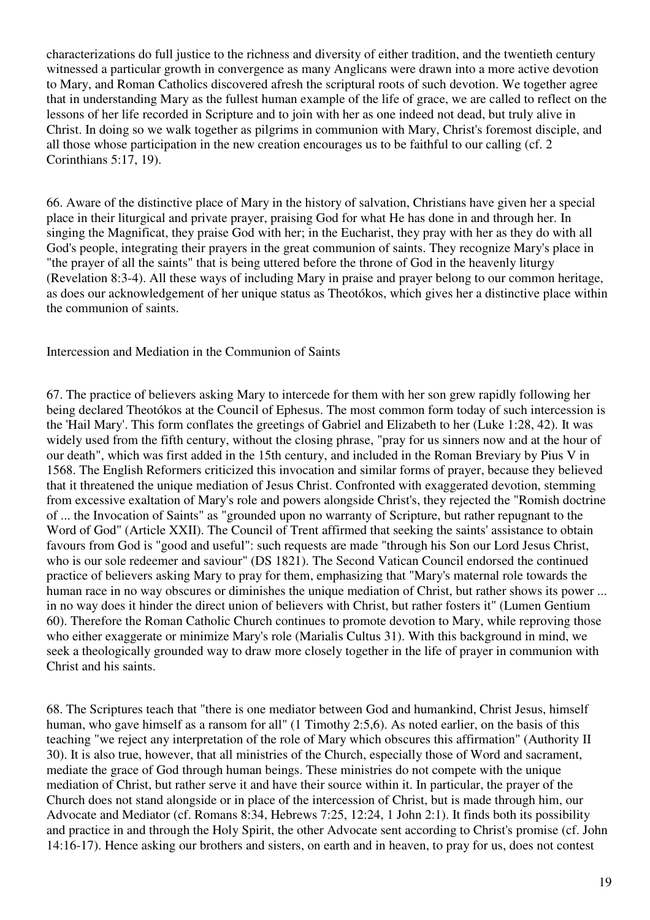characterizations do full justice to the richness and diversity of either tradition, and the twentieth century witnessed a particular growth in convergence as many Anglicans were drawn into a more active devotion to Mary, and Roman Catholics discovered afresh the scriptural roots of such devotion. We together agree that in understanding Mary as the fullest human example of the life of grace, we are called to reflect on the lessons of her life recorded in Scripture and to join with her as one indeed not dead, but truly alive in Christ. In doing so we walk together as pilgrims in communion with Mary, Christ's foremost disciple, and all those whose participation in the new creation encourages us to be faithful to our calling (cf. 2 Corinthians 5:17, 19).

66. Aware of the distinctive place of Mary in the history of salvation, Christians have given her a special place in their liturgical and private prayer, praising God for what He has done in and through her. In singing the Magnificat, they praise God with her; in the Eucharist, they pray with her as they do with all God's people, integrating their prayers in the great communion of saints. They recognize Mary's place in "the prayer of all the saints" that is being uttered before the throne of God in the heavenly liturgy (Revelation 8:3-4). All these ways of including Mary in praise and prayer belong to our common heritage, as does our acknowledgement of her unique status as Theotókos, which gives her a distinctive place within the communion of saints.

Intercession and Mediation in the Communion of Saints

67. The practice of believers asking Mary to intercede for them with her son grew rapidly following her being declared Theotókos at the Council of Ephesus. The most common form today of such intercession is the 'Hail Mary'. This form conflates the greetings of Gabriel and Elizabeth to her (Luke 1:28, 42). It was widely used from the fifth century, without the closing phrase, "pray for us sinners now and at the hour of our death", which was first added in the 15th century, and included in the Roman Breviary by Pius V in 1568. The English Reformers criticized this invocation and similar forms of prayer, because they believed that it threatened the unique mediation of Jesus Christ. Confronted with exaggerated devotion, stemming from excessive exaltation of Mary's role and powers alongside Christ's, they rejected the "Romish doctrine of ... the Invocation of Saints" as "grounded upon no warranty of Scripture, but rather repugnant to the Word of God" (Article XXII). The Council of Trent affirmed that seeking the saints' assistance to obtain favours from God is "good and useful": such requests are made "through his Son our Lord Jesus Christ, who is our sole redeemer and saviour" (DS 1821). The Second Vatican Council endorsed the continued practice of believers asking Mary to pray for them, emphasizing that "Mary's maternal role towards the human race in no way obscures or diminishes the unique mediation of Christ, but rather shows its power ... in no way does it hinder the direct union of believers with Christ, but rather fosters it" (Lumen Gentium 60). Therefore the Roman Catholic Church continues to promote devotion to Mary, while reproving those who either exaggerate or minimize Mary's role (Marialis Cultus 31). With this background in mind, we seek a theologically grounded way to draw more closely together in the life of prayer in communion with Christ and his saints.

68. The Scriptures teach that "there is one mediator between God and humankind, Christ Jesus, himself human, who gave himself as a ransom for all" (1 Timothy 2:5,6). As noted earlier, on the basis of this teaching "we reject any interpretation of the role of Mary which obscures this affirmation" (Authority II 30). It is also true, however, that all ministries of the Church, especially those of Word and sacrament, mediate the grace of God through human beings. These ministries do not compete with the unique mediation of Christ, but rather serve it and have their source within it. In particular, the prayer of the Church does not stand alongside or in place of the intercession of Christ, but is made through him, our Advocate and Mediator (cf. Romans 8:34, Hebrews 7:25, 12:24, 1 John 2:1). It finds both its possibility and practice in and through the Holy Spirit, the other Advocate sent according to Christ's promise (cf. John 14:16-17). Hence asking our brothers and sisters, on earth and in heaven, to pray for us, does not contest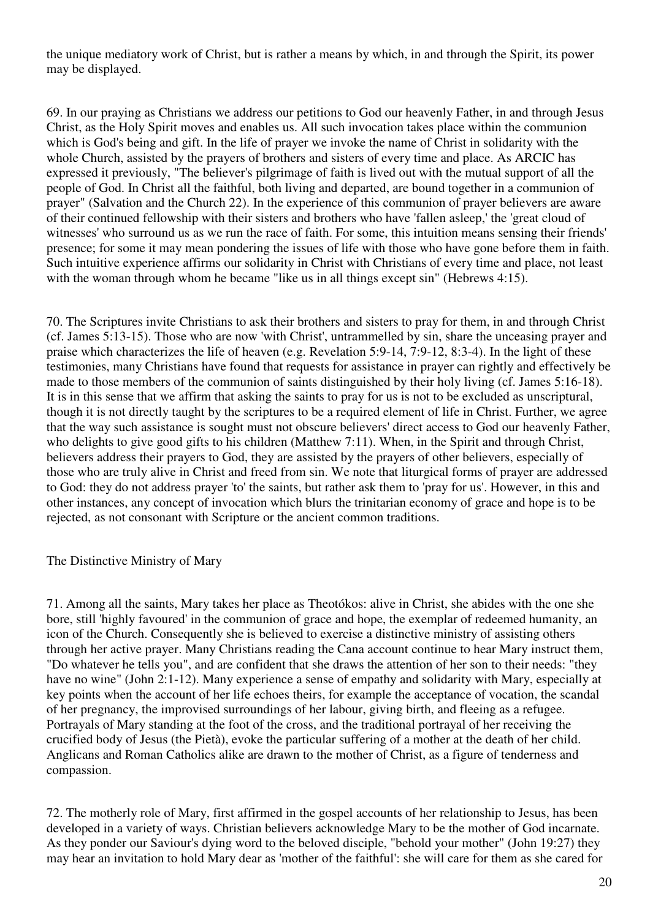the unique mediatory work of Christ, but is rather a means by which, in and through the Spirit, its power may be displayed.

69. In our praying as Christians we address our petitions to God our heavenly Father, in and through Jesus Christ, as the Holy Spirit moves and enables us. All such invocation takes place within the communion which is God's being and gift. In the life of prayer we invoke the name of Christ in solidarity with the whole Church, assisted by the prayers of brothers and sisters of every time and place. As ARCIC has expressed it previously, "The believer's pilgrimage of faith is lived out with the mutual support of all the people of God. In Christ all the faithful, both living and departed, are bound together in a communion of prayer" (Salvation and the Church 22). In the experience of this communion of prayer believers are aware of their continued fellowship with their sisters and brothers who have 'fallen asleep,' the 'great cloud of witnesses' who surround us as we run the race of faith. For some, this intuition means sensing their friends' presence; for some it may mean pondering the issues of life with those who have gone before them in faith. Such intuitive experience affirms our solidarity in Christ with Christians of every time and place, not least with the woman through whom he became "like us in all things except sin" (Hebrews 4:15).

70. The Scriptures invite Christians to ask their brothers and sisters to pray for them, in and through Christ (cf. James 5:13-15). Those who are now 'with Christ', untrammelled by sin, share the unceasing prayer and praise which characterizes the life of heaven (e.g. Revelation 5:9-14, 7:9-12, 8:3-4). In the light of these testimonies, many Christians have found that requests for assistance in prayer can rightly and effectively be made to those members of the communion of saints distinguished by their holy living (cf. James 5:16-18). It is in this sense that we affirm that asking the saints to pray for us is not to be excluded as unscriptural, though it is not directly taught by the scriptures to be a required element of life in Christ. Further, we agree that the way such assistance is sought must not obscure believers' direct access to God our heavenly Father, who delights to give good gifts to his children (Matthew 7:11). When, in the Spirit and through Christ, believers address their prayers to God, they are assisted by the prayers of other believers, especially of those who are truly alive in Christ and freed from sin. We note that liturgical forms of prayer are addressed to God: they do not address prayer 'to' the saints, but rather ask them to 'pray for us'. However, in this and other instances, any concept of invocation which blurs the trinitarian economy of grace and hope is to be rejected, as not consonant with Scripture or the ancient common traditions.

The Distinctive Ministry of Mary

71. Among all the saints, Mary takes her place as Theotókos: alive in Christ, she abides with the one she bore, still 'highly favoured' in the communion of grace and hope, the exemplar of redeemed humanity, an icon of the Church. Consequently she is believed to exercise a distinctive ministry of assisting others through her active prayer. Many Christians reading the Cana account continue to hear Mary instruct them, "Do whatever he tells you", and are confident that she draws the attention of her son to their needs: "they have no wine" (John 2:1-12). Many experience a sense of empathy and solidarity with Mary, especially at key points when the account of her life echoes theirs, for example the acceptance of vocation, the scandal of her pregnancy, the improvised surroundings of her labour, giving birth, and fleeing as a refugee. Portrayals of Mary standing at the foot of the cross, and the traditional portrayal of her receiving the crucified body of Jesus (the Pietà), evoke the particular suffering of a mother at the death of her child. Anglicans and Roman Catholics alike are drawn to the mother of Christ, as a figure of tenderness and compassion.

72. The motherly role of Mary, first affirmed in the gospel accounts of her relationship to Jesus, has been developed in a variety of ways. Christian believers acknowledge Mary to be the mother of God incarnate. As they ponder our Saviour's dying word to the beloved disciple, "behold your mother" (John 19:27) they may hear an invitation to hold Mary dear as 'mother of the faithful': she will care for them as she cared for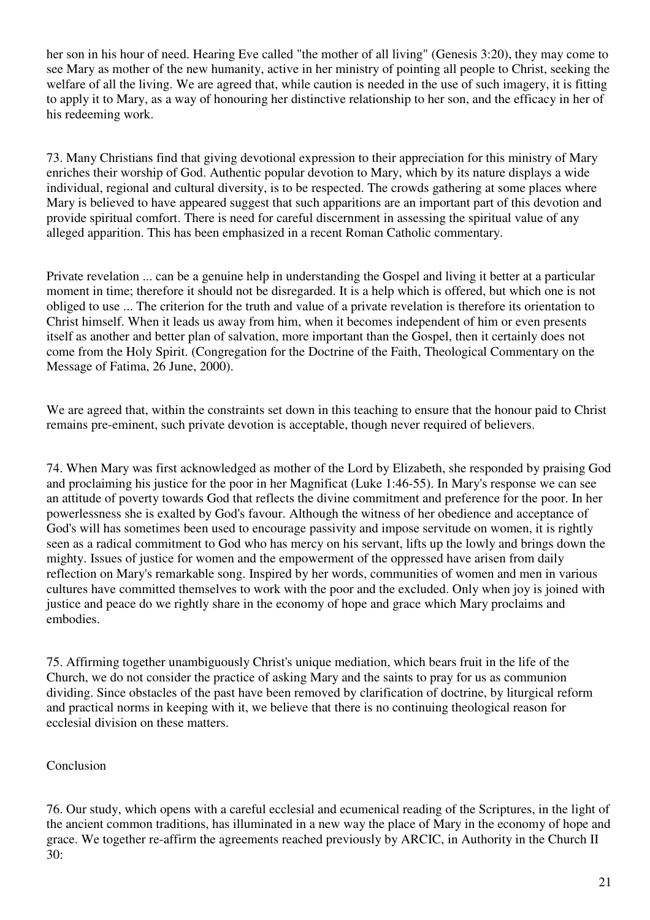her son in his hour of need. Hearing Eve called "the mother of all living" (Genesis 3:20), they may come to see Mary as mother of the new humanity, active in her ministry of pointing all people to Christ, seeking the welfare of all the living. We are agreed that, while caution is needed in the use of such imagery, it is fitting to apply it to Mary, as a way of honouring her distinctive relationship to her son, and the efficacy in her of his redeeming work.

73. Many Christians find that giving devotional expression to their appreciation for this ministry of Mary enriches their worship of God. Authentic popular devotion to Mary, which by its nature displays a wide individual, regional and cultural diversity, is to be respected. The crowds gathering at some places where Mary is believed to have appeared suggest that such apparitions are an important part of this devotion and provide spiritual comfort. There is need for careful discernment in assessing the spiritual value of any alleged apparition. This has been emphasized in a recent Roman Catholic commentary.

Private revelation ... can be a genuine help in understanding the Gospel and living it better at a particular moment in time; therefore it should not be disregarded. It is a help which is offered, but which one is not obliged to use ... The criterion for the truth and value of a private revelation is therefore its orientation to Christ himself. When it leads us away from him, when it becomes independent of him or even presents itself as another and better plan of salvation, more important than the Gospel, then it certainly does not come from the Holy Spirit. (Congregation for the Doctrine of the Faith, Theological Commentary on the Message of Fatima, 26 June, 2000).

We are agreed that, within the constraints set down in this teaching to ensure that the honour paid to Christ remains pre-eminent, such private devotion is acceptable, though never required of believers.

74. When Mary was first acknowledged as mother of the Lord by Elizabeth, she responded by praising God and proclaiming his justice for the poor in her Magnificat (Luke 1:46-55). In Mary's response we can see an attitude of poverty towards God that reflects the divine commitment and preference for the poor. In her powerlessness she is exalted by God's favour. Although the witness of her obedience and acceptance of God's will has sometimes been used to encourage passivity and impose servitude on women, it is rightly seen as a radical commitment to God who has mercy on his servant, lifts up the lowly and brings down the mighty. Issues of justice for women and the empowerment of the oppressed have arisen from daily reflection on Mary's remarkable song. Inspired by her words, communities of women and men in various cultures have committed themselves to work with the poor and the excluded. Only when joy is joined with justice and peace do we rightly share in the economy of hope and grace which Mary proclaims and embodies.

75. Affirming together unambiguously Christ's unique mediation, which bears fruit in the life of the Church, we do not consider the practice of asking Mary and the saints to pray for us as communion dividing. Since obstacles of the past have been removed by clarification of doctrine, by liturgical reform and practical norms in keeping with it, we believe that there is no continuing theological reason for ecclesial division on these matters.

# Conclusion

76. Our study, which opens with a careful ecclesial and ecumenical reading of the Scriptures, in the light of the ancient common traditions, has illuminated in a new way the place of Mary in the economy of hope and grace. We together re-affirm the agreements reached previously by ARCIC, in Authority in the Church II 30: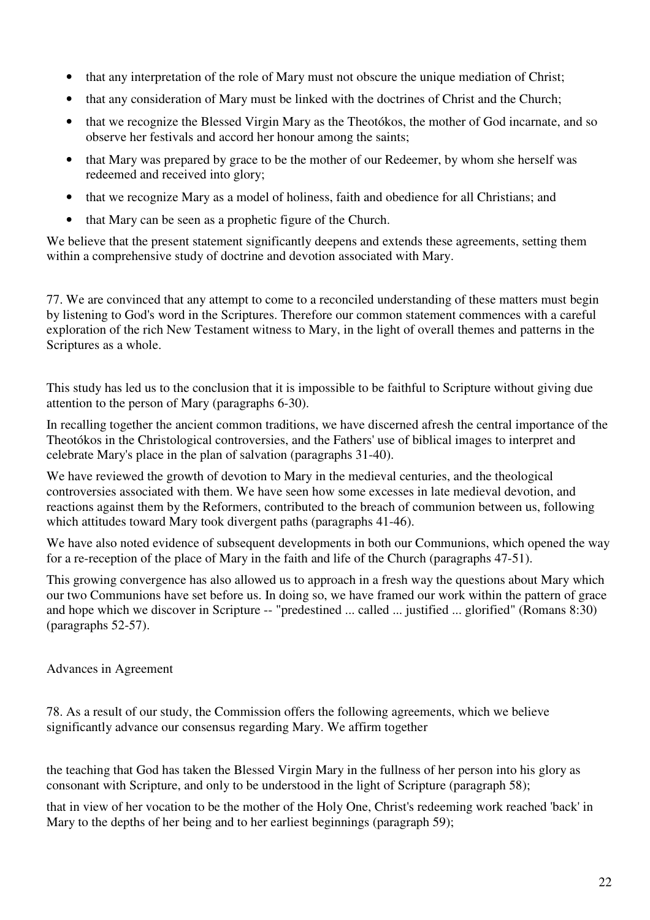- that any interpretation of the role of Mary must not obscure the unique mediation of Christ:
- that any consideration of Mary must be linked with the doctrines of Christ and the Church;
- that we recognize the Blessed Virgin Mary as the Theotókos, the mother of God incarnate, and so observe her festivals and accord her honour among the saints;
- that Mary was prepared by grace to be the mother of our Redeemer, by whom she herself was redeemed and received into glory;
- that we recognize Mary as a model of holiness, faith and obedience for all Christians; and
- that Mary can be seen as a prophetic figure of the Church.

We believe that the present statement significantly deepens and extends these agreements, setting them within a comprehensive study of doctrine and devotion associated with Mary.

77. We are convinced that any attempt to come to a reconciled understanding of these matters must begin by listening to God's word in the Scriptures. Therefore our common statement commences with a careful exploration of the rich New Testament witness to Mary, in the light of overall themes and patterns in the Scriptures as a whole.

This study has led us to the conclusion that it is impossible to be faithful to Scripture without giving due attention to the person of Mary (paragraphs 6-30).

In recalling together the ancient common traditions, we have discerned afresh the central importance of the Theotókos in the Christological controversies, and the Fathers' use of biblical images to interpret and celebrate Mary's place in the plan of salvation (paragraphs 31-40).

We have reviewed the growth of devotion to Mary in the medieval centuries, and the theological controversies associated with them. We have seen how some excesses in late medieval devotion, and reactions against them by the Reformers, contributed to the breach of communion between us, following which attitudes toward Mary took divergent paths (paragraphs 41-46).

We have also noted evidence of subsequent developments in both our Communions, which opened the way for a re-reception of the place of Mary in the faith and life of the Church (paragraphs 47-51).

This growing convergence has also allowed us to approach in a fresh way the questions about Mary which our two Communions have set before us. In doing so, we have framed our work within the pattern of grace and hope which we discover in Scripture -- "predestined ... called ... justified ... glorified" (Romans 8:30) (paragraphs 52-57).

Advances in Agreement

78. As a result of our study, the Commission offers the following agreements, which we believe significantly advance our consensus regarding Mary. We affirm together

the teaching that God has taken the Blessed Virgin Mary in the fullness of her person into his glory as consonant with Scripture, and only to be understood in the light of Scripture (paragraph 58);

that in view of her vocation to be the mother of the Holy One, Christ's redeeming work reached 'back' in Mary to the depths of her being and to her earliest beginnings (paragraph 59);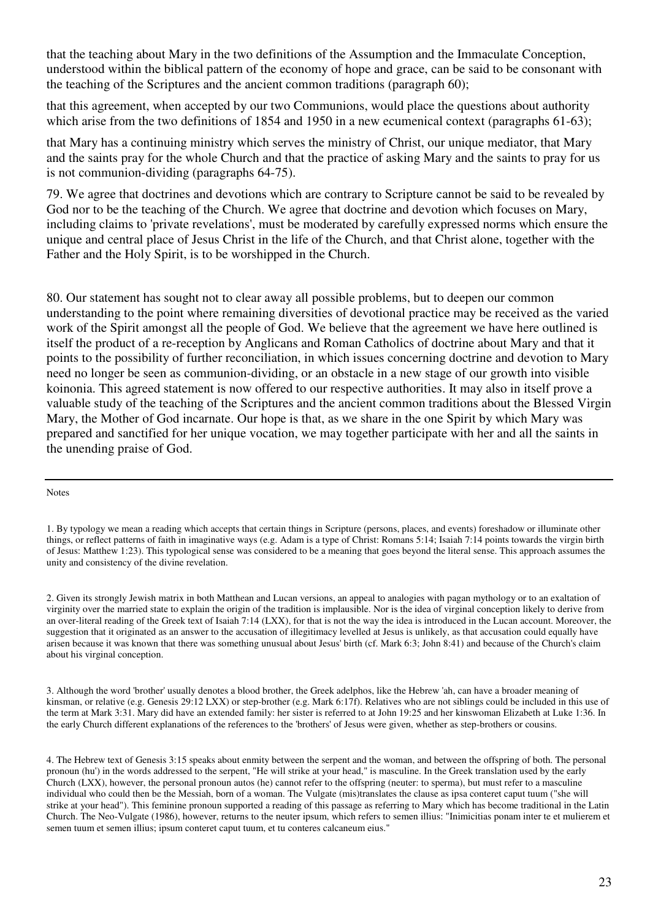that the teaching about Mary in the two definitions of the Assumption and the Immaculate Conception, understood within the biblical pattern of the economy of hope and grace, can be said to be consonant with the teaching of the Scriptures and the ancient common traditions (paragraph 60);

that this agreement, when accepted by our two Communions, would place the questions about authority which arise from the two definitions of 1854 and 1950 in a new ecumenical context (paragraphs 61-63);

that Mary has a continuing ministry which serves the ministry of Christ, our unique mediator, that Mary and the saints pray for the whole Church and that the practice of asking Mary and the saints to pray for us is not communion-dividing (paragraphs 64-75).

79. We agree that doctrines and devotions which are contrary to Scripture cannot be said to be revealed by God nor to be the teaching of the Church. We agree that doctrine and devotion which focuses on Mary, including claims to 'private revelations', must be moderated by carefully expressed norms which ensure the unique and central place of Jesus Christ in the life of the Church, and that Christ alone, together with the Father and the Holy Spirit, is to be worshipped in the Church.

80. Our statement has sought not to clear away all possible problems, but to deepen our common understanding to the point where remaining diversities of devotional practice may be received as the varied work of the Spirit amongst all the people of God. We believe that the agreement we have here outlined is itself the product of a re-reception by Anglicans and Roman Catholics of doctrine about Mary and that it points to the possibility of further reconciliation, in which issues concerning doctrine and devotion to Mary need no longer be seen as communion-dividing, or an obstacle in a new stage of our growth into visible koinonia. This agreed statement is now offered to our respective authorities. It may also in itself prove a valuable study of the teaching of the Scriptures and the ancient common traditions about the Blessed Virgin Mary, the Mother of God incarnate. Our hope is that, as we share in the one Spirit by which Mary was prepared and sanctified for her unique vocation, we may together participate with her and all the saints in the unending praise of God.

#### Notes

3. Although the word 'brother' usually denotes a blood brother, the Greek adelphos, like the Hebrew 'ah, can have a broader meaning of kinsman, or relative (e.g. Genesis 29:12 LXX) or step-brother (e.g. Mark 6:17f). Relatives who are not siblings could be included in this use of the term at Mark 3:31. Mary did have an extended family: her sister is referred to at John 19:25 and her kinswoman Elizabeth at Luke 1:36. In the early Church different explanations of the references to the 'brothers' of Jesus were given, whether as step-brothers or cousins.

4. The Hebrew text of Genesis 3:15 speaks about enmity between the serpent and the woman, and between the offspring of both. The personal pronoun (hu') in the words addressed to the serpent, "He will strike at your head," is masculine. In the Greek translation used by the early Church (LXX), however, the personal pronoun autos (he) cannot refer to the offspring (neuter: to sperma), but must refer to a masculine individual who could then be the Messiah, born of a woman. The Vulgate (mis)translates the clause as ipsa conteret caput tuum ("she will strike at your head"). This feminine pronoun supported a reading of this passage as referring to Mary which has become traditional in the Latin Church. The Neo-Vulgate (1986), however, returns to the neuter ipsum, which refers to semen illius: "Inimicitias ponam inter te et mulierem et semen tuum et semen illius; ipsum conteret caput tuum, et tu conteres calcaneum eius."

<sup>1.</sup> By typology we mean a reading which accepts that certain things in Scripture (persons, places, and events) foreshadow or illuminate other things, or reflect patterns of faith in imaginative ways (e.g. Adam is a type of Christ: Romans 5:14; Isaiah 7:14 points towards the virgin birth of Jesus: Matthew 1:23). This typological sense was considered to be a meaning that goes beyond the literal sense. This approach assumes the unity and consistency of the divine revelation.

<sup>2.</sup> Given its strongly Jewish matrix in both Matthean and Lucan versions, an appeal to analogies with pagan mythology or to an exaltation of virginity over the married state to explain the origin of the tradition is implausible. Nor is the idea of virginal conception likely to derive from an over-literal reading of the Greek text of Isaiah 7:14 (LXX), for that is not the way the idea is introduced in the Lucan account. Moreover, the suggestion that it originated as an answer to the accusation of illegitimacy levelled at Jesus is unlikely, as that accusation could equally have arisen because it was known that there was something unusual about Jesus' birth (cf. Mark 6:3; John 8:41) and because of the Church's claim about his virginal conception.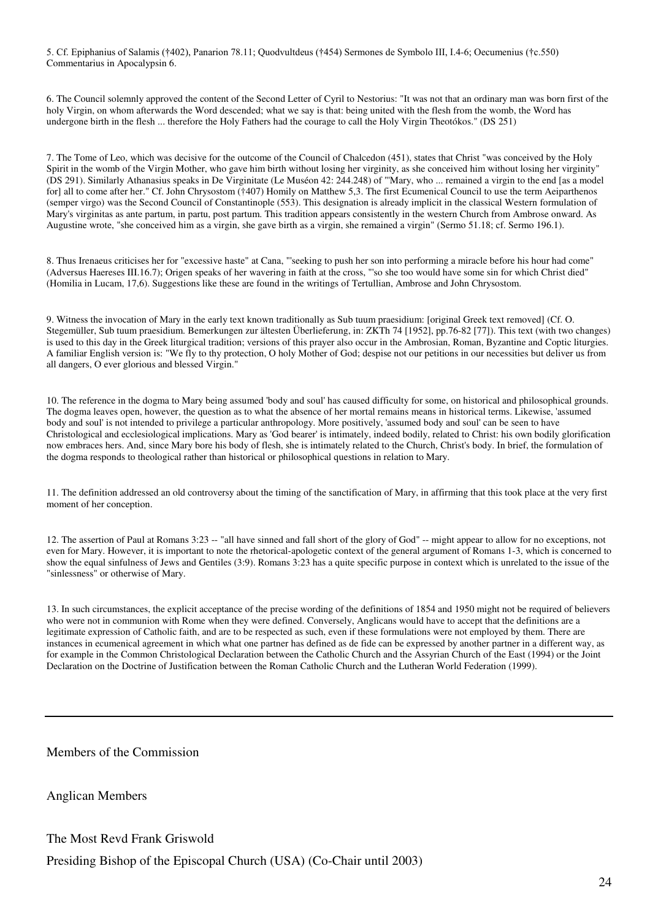5. Cf. Epiphanius of Salamis (†402), Panarion 78.11; Quodvultdeus (†454) Sermones de Symbolo III, I.4-6; Oecumenius (†c.550) Commentarius in Apocalypsin 6.

6. The Council solemnly approved the content of the Second Letter of Cyril to Nestorius: "It was not that an ordinary man was born first of the holy Virgin, on whom afterwards the Word descended; what we say is that: being united with the flesh from the womb, the Word has undergone birth in the flesh ... therefore the Holy Fathers had the courage to call the Holy Virgin Theotókos." (DS 251)

7. The Tome of Leo, which was decisive for the outcome of the Council of Chalcedon (451), states that Christ "was conceived by the Holy Spirit in the womb of the Virgin Mother, who gave him birth without losing her virginity, as she conceived him without losing her virginity" (DS 291). Similarly Athanasius speaks in De Virginitate (Le Muséon 42: 244.248) of "'Mary, who ... remained a virgin to the end [as a model for] all to come after her." Cf. John Chrysostom (†407) Homily on Matthew 5,3. The first Ecumenical Council to use the term Aeiparthenos (semper virgo) was the Second Council of Constantinople (553). This designation is already implicit in the classical Western formulation of Mary's virginitas as ante partum, in partu, post partum. This tradition appears consistently in the western Church from Ambrose onward. As Augustine wrote, "she conceived him as a virgin, she gave birth as a virgin, she remained a virgin" (Sermo 51.18; cf. Sermo 196.1).

8. Thus Irenaeus criticises her for "excessive haste" at Cana, "'seeking to push her son into performing a miracle before his hour had come" (Adversus Haereses III.16.7); Origen speaks of her wavering in faith at the cross, "'so she too would have some sin for which Christ died" (Homilia in Lucam, 17,6). Suggestions like these are found in the writings of Tertullian, Ambrose and John Chrysostom.

9. Witness the invocation of Mary in the early text known traditionally as Sub tuum praesidium: [original Greek text removed] (Cf. O. Stegemüller, Sub tuum praesidium. Bemerkungen zur ältesten Überlieferung, in: ZKTh 74 [1952], pp.76-82 [77]). This text (with two changes) is used to this day in the Greek liturgical tradition; versions of this prayer also occur in the Ambrosian, Roman, Byzantine and Coptic liturgies. A familiar English version is: "We fly to thy protection, O holy Mother of God; despise not our petitions in our necessities but deliver us from all dangers, O ever glorious and blessed Virgin."

10. The reference in the dogma to Mary being assumed 'body and soul' has caused difficulty for some, on historical and philosophical grounds. The dogma leaves open, however, the question as to what the absence of her mortal remains means in historical terms. Likewise, 'assumed body and soul' is not intended to privilege a particular anthropology. More positively, 'assumed body and soul' can be seen to have Christological and ecclesiological implications. Mary as 'God bearer' is intimately, indeed bodily, related to Christ: his own bodily glorification now embraces hers. And, since Mary bore his body of flesh, she is intimately related to the Church, Christ's body. In brief, the formulation of the dogma responds to theological rather than historical or philosophical questions in relation to Mary.

11. The definition addressed an old controversy about the timing of the sanctification of Mary, in affirming that this took place at the very first moment of her conception.

12. The assertion of Paul at Romans 3:23 -- "all have sinned and fall short of the glory of God" -- might appear to allow for no exceptions, not even for Mary. However, it is important to note the rhetorical-apologetic context of the general argument of Romans 1-3, which is concerned to show the equal sinfulness of Jews and Gentiles (3:9). Romans 3:23 has a quite specific purpose in context which is unrelated to the issue of the "sinlessness" or otherwise of Mary.

13. In such circumstances, the explicit acceptance of the precise wording of the definitions of 1854 and 1950 might not be required of believers who were not in communion with Rome when they were defined. Conversely, Anglicans would have to accept that the definitions are a legitimate expression of Catholic faith, and are to be respected as such, even if these formulations were not employed by them. There are instances in ecumenical agreement in which what one partner has defined as de fide can be expressed by another partner in a different way, as for example in the Common Christological Declaration between the Catholic Church and the Assyrian Church of the East (1994) or the Joint Declaration on the Doctrine of Justification between the Roman Catholic Church and the Lutheran World Federation (1999).

Members of the Commission

Anglican Members

## The Most Revd Frank Griswold

Presiding Bishop of the Episcopal Church (USA) (Co-Chair until 2003)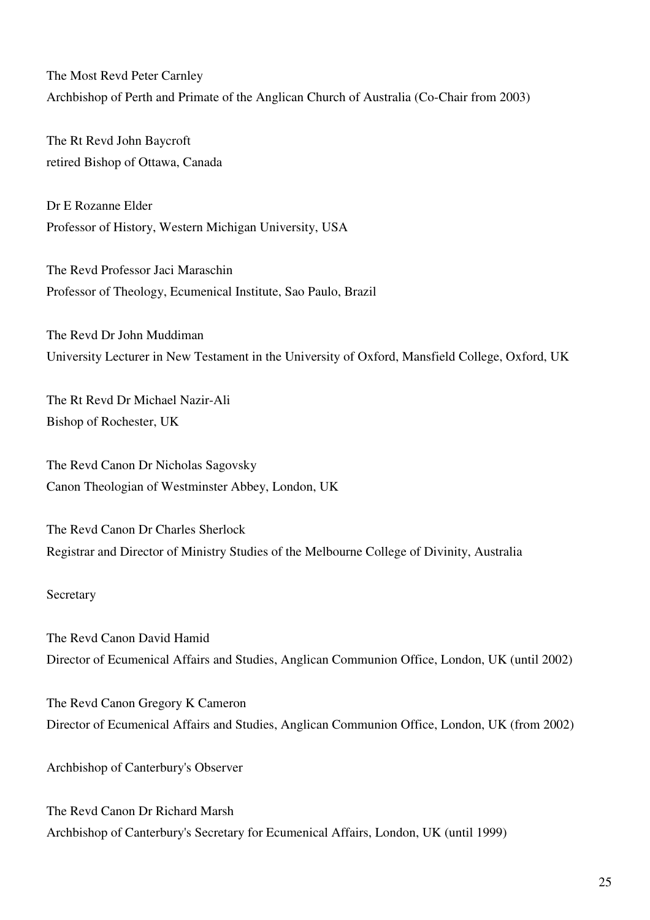The Most Revd Peter Carnley Archbishop of Perth and Primate of the Anglican Church of Australia (Co-Chair from 2003)

The Rt Revd John Baycroft retired Bishop of Ottawa, Canada

Dr E Rozanne Elder Professor of History, Western Michigan University, USA

The Revd Professor Jaci Maraschin Professor of Theology, Ecumenical Institute, Sao Paulo, Brazil

The Revd Dr John Muddiman University Lecturer in New Testament in the University of Oxford, Mansfield College, Oxford, UK

The Rt Revd Dr Michael Nazir-Ali Bishop of Rochester, UK

The Revd Canon Dr Nicholas Sagovsky Canon Theologian of Westminster Abbey, London, UK

The Revd Canon Dr Charles Sherlock Registrar and Director of Ministry Studies of the Melbourne College of Divinity, Australia

#### **Secretary**

The Revd Canon David Hamid Director of Ecumenical Affairs and Studies, Anglican Communion Office, London, UK (until 2002)

The Revd Canon Gregory K Cameron Director of Ecumenical Affairs and Studies, Anglican Communion Office, London, UK (from 2002)

Archbishop of Canterbury's Observer

The Revd Canon Dr Richard Marsh Archbishop of Canterbury's Secretary for Ecumenical Affairs, London, UK (until 1999)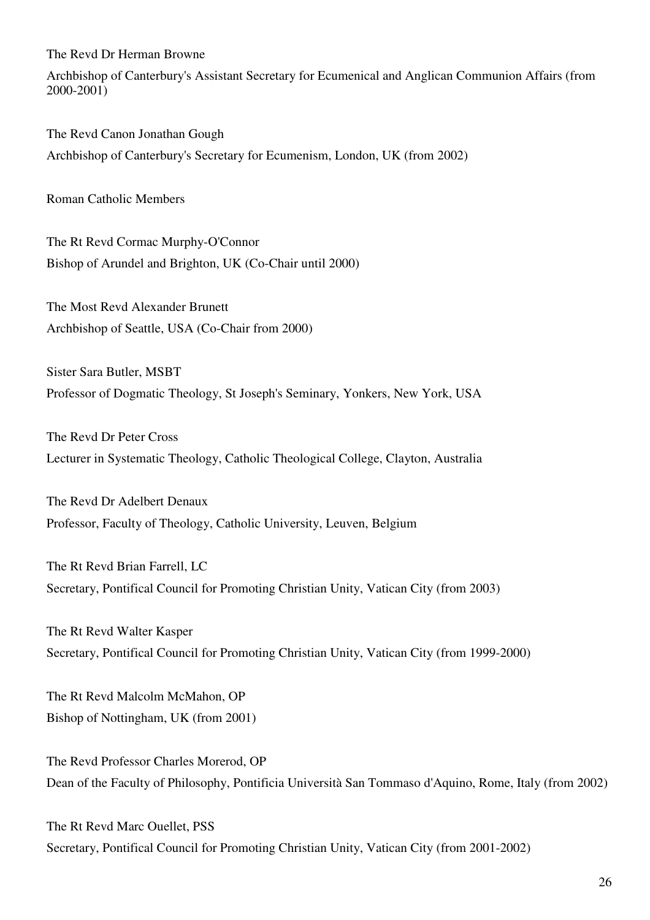The Revd Dr Herman Browne

Archbishop of Canterbury's Assistant Secretary for Ecumenical and Anglican Communion Affairs (from 2000-2001)

The Revd Canon Jonathan Gough Archbishop of Canterbury's Secretary for Ecumenism, London, UK (from 2002)

Roman Catholic Members

The Rt Revd Cormac Murphy-O'Connor Bishop of Arundel and Brighton, UK (Co-Chair until 2000)

The Most Revd Alexander Brunett Archbishop of Seattle, USA (Co-Chair from 2000)

Sister Sara Butler, MSBT Professor of Dogmatic Theology, St Joseph's Seminary, Yonkers, New York, USA

The Revd Dr Peter Cross Lecturer in Systematic Theology, Catholic Theological College, Clayton, Australia

The Revd Dr Adelbert Denaux Professor, Faculty of Theology, Catholic University, Leuven, Belgium

The Rt Revd Brian Farrell, LC Secretary, Pontifical Council for Promoting Christian Unity, Vatican City (from 2003)

The Rt Revd Walter Kasper Secretary, Pontifical Council for Promoting Christian Unity, Vatican City (from 1999-2000)

The Rt Revd Malcolm McMahon, OP Bishop of Nottingham, UK (from 2001)

The Revd Professor Charles Morerod, OP Dean of the Faculty of Philosophy, Pontificia Università San Tommaso d'Aquino, Rome, Italy (from 2002)

The Rt Revd Marc Ouellet, PSS Secretary, Pontifical Council for Promoting Christian Unity, Vatican City (from 2001-2002)